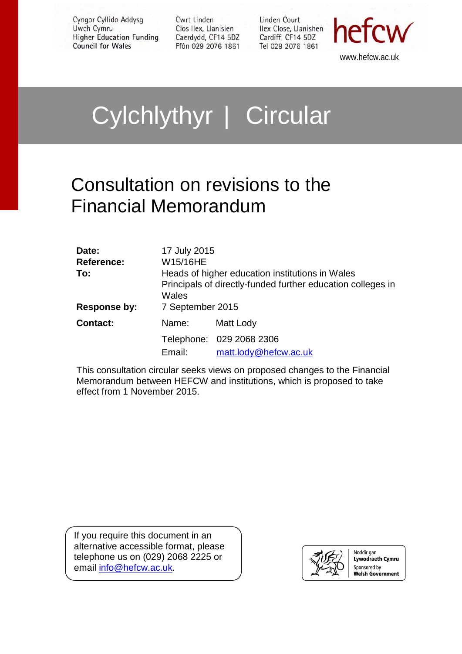Cyngor Cyllido Addysg Uwch Cymru **Higher Education Funding Council for Wales** 

Cwrt Linden Clos Ilex, Llanisien Caerdydd, CF14 5DZ Ffôn 029 2076 1861 Linden Court Ilex Close, Llanishen Cardiff, CF14 5DZ Tel 029 2076 1861



www.hefcw.ac.uk

# Cylchlythyr | Circular

### Consultation on revisions to the Financial Memorandum

| Date:<br><b>Reference:</b><br>To:<br>Response by: | 17 July 2015<br>W15/16HE<br>Wales<br>7 September 2015 | Heads of higher education institutions in Wales<br>Principals of directly-funded further education colleges in |
|---------------------------------------------------|-------------------------------------------------------|----------------------------------------------------------------------------------------------------------------|
| <b>Contact:</b>                                   | Name:                                                 | Matt Lody                                                                                                      |
|                                                   | Email:                                                | Telephone: 029 2068 2306<br>matt.lody@hefcw.ac.uk                                                              |

This consultation circular seeks views on proposed changes to the Financial Memorandum between HEFCW and institutions, which is proposed to take effect from 1 November 2015.

If you require this document in an alternative accessible format, please telephone us on (029) 2068 2225 or email [info@hefcw.ac.uk.](mailto:info@hefcw.ac.uk)



Noddir gan **Lywodraeth Cymru** Sponsored by **Welsh Government**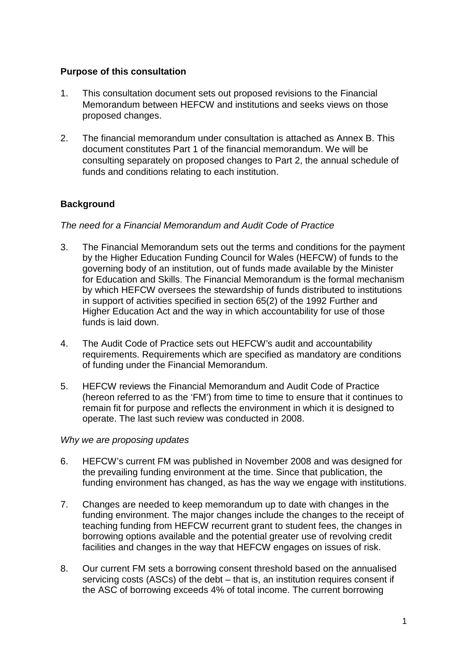#### **Purpose of this consultation**

- 1. This consultation document sets out proposed revisions to the Financial Memorandum between HEFCW and institutions and seeks views on those proposed changes.
- 2. The financial memorandum under consultation is attached as Annex B. This document constitutes Part 1 of the financial memorandum. We will be consulting separately on proposed changes to Part 2, the annual schedule of funds and conditions relating to each institution.

#### **Background**

#### *The need for a Financial Memorandum and Audit Code of Practice*

- 3. The Financial Memorandum sets out the terms and conditions for the payment by the Higher Education Funding Council for Wales (HEFCW) of funds to the governing body of an institution, out of funds made available by the Minister for Education and Skills. The Financial Memorandum is the formal mechanism by which HEFCW oversees the stewardship of funds distributed to institutions in support of activities specified in section 65(2) of the 1992 Further and Higher Education Act and the way in which accountability for use of those funds is laid down.
- 4. The Audit Code of Practice sets out HEFCW's audit and accountability requirements. Requirements which are specified as mandatory are conditions of funding under the Financial Memorandum.
- 5. HEFCW reviews the Financial Memorandum and Audit Code of Practice (hereon referred to as the 'FM') from time to time to ensure that it continues to remain fit for purpose and reflects the environment in which it is designed to operate. The last such review was conducted in 2008.

#### *Why we are proposing updates*

- 6. HEFCW's current FM was published in November 2008 and was designed for the prevailing funding environment at the time. Since that publication, the funding environment has changed, as has the way we engage with institutions.
- 7. Changes are needed to keep memorandum up to date with changes in the funding environment. The major changes include the changes to the receipt of teaching funding from HEFCW recurrent grant to student fees, the changes in borrowing options available and the potential greater use of revolving credit facilities and changes in the way that HEFCW engages on issues of risk.
- 8. Our current FM sets a borrowing consent threshold based on the annualised servicing costs (ASCs) of the debt – that is, an institution requires consent if the ASC of borrowing exceeds 4% of total income. The current borrowing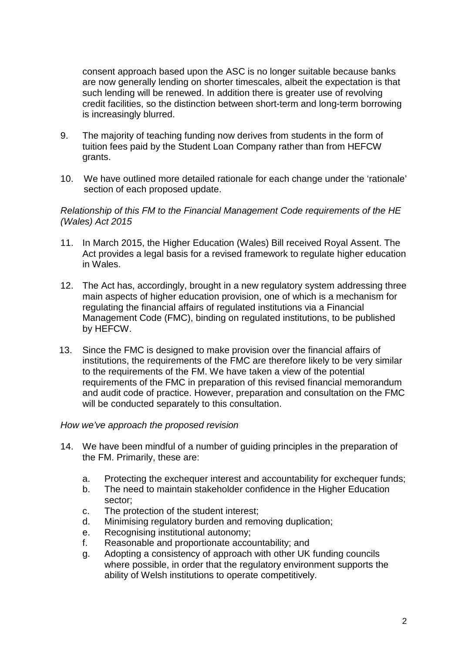consent approach based upon the ASC is no longer suitable because banks are now generally lending on shorter timescales, albeit the expectation is that such lending will be renewed. In addition there is greater use of revolving credit facilities, so the distinction between short-term and long-term borrowing is increasingly blurred.

- 9. The majority of teaching funding now derives from students in the form of tuition fees paid by the Student Loan Company rather than from HEFCW grants.
- 10. We have outlined more detailed rationale for each change under the 'rationale' section of each proposed update.

#### *Relationship of this FM to the Financial Management Code requirements of the HE (Wales) Act 2015*

- 11. In March 2015, the Higher Education (Wales) Bill received Royal Assent. The Act provides a legal basis for a revised framework to regulate higher education in Wales.
- 12. The Act has, accordingly, brought in a new regulatory system addressing three main aspects of higher education provision, one of which is a mechanism for regulating the financial affairs of regulated institutions via a Financial Management Code (FMC), binding on regulated institutions, to be published by HEFCW.
- 13. Since the FMC is designed to make provision over the financial affairs of institutions, the requirements of the FMC are therefore likely to be very similar to the requirements of the FM. We have taken a view of the potential requirements of the FMC in preparation of this revised financial memorandum and audit code of practice. However, preparation and consultation on the FMC will be conducted separately to this consultation.

#### *How we've approach the proposed revision*

- 14. We have been mindful of a number of guiding principles in the preparation of the FM. Primarily, these are:
	- a. Protecting the exchequer interest and accountability for exchequer funds;
	- b. The need to maintain stakeholder confidence in the Higher Education sector;
	- c. The protection of the student interest;
	- d. Minimising regulatory burden and removing duplication;
	- e. Recognising institutional autonomy;
	- f. Reasonable and proportionate accountability; and
	- g. Adopting a consistency of approach with other UK funding councils where possible, in order that the regulatory environment supports the ability of Welsh institutions to operate competitively.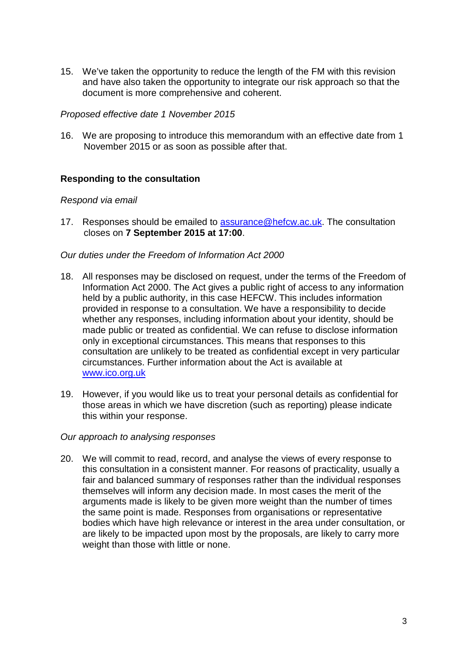15. We've taken the opportunity to reduce the length of the FM with this revision and have also taken the opportunity to integrate our risk approach so that the document is more comprehensive and coherent.

#### *Proposed effective date 1 November 2015*

16. We are proposing to introduce this memorandum with an effective date from 1 November 2015 or as soon as possible after that.

#### **Responding to the consultation**

#### *Respond via email*

17. Responses should be emailed to [assurance@hefcw.ac.uk.](mailto:assurance@hefcw.ac.uk) The consultation closes on **7 September 2015 at 17:00**.

#### *Our duties under the Freedom of Information Act 2000*

- 18. All responses may be disclosed on request, under the terms of the Freedom of Information Act 2000. The Act gives a public right of access to any information held by a public authority, in this case HEFCW. This includes information provided in response to a consultation. We have a responsibility to decide whether any responses, including information about your identity, should be made public or treated as confidential. We can refuse to disclose information only in exceptional circumstances. This means that responses to this consultation are unlikely to be treated as confidential except in very particular circumstances. Further information about the Act is available at [www.ico.org.uk](http://www.ico.org.uk/)
- 19. However, if you would like us to treat your personal details as confidential for those areas in which we have discretion (such as reporting) please indicate this within your response.

#### *Our approach to analysing responses*

20. We will commit to read, record, and analyse the views of every response to this consultation in a consistent manner. For reasons of practicality, usually a fair and balanced summary of responses rather than the individual responses themselves will inform any decision made. In most cases the merit of the arguments made is likely to be given more weight than the number of times the same point is made. Responses from organisations or representative bodies which have high relevance or interest in the area under consultation, or are likely to be impacted upon most by the proposals, are likely to carry more weight than those with little or none.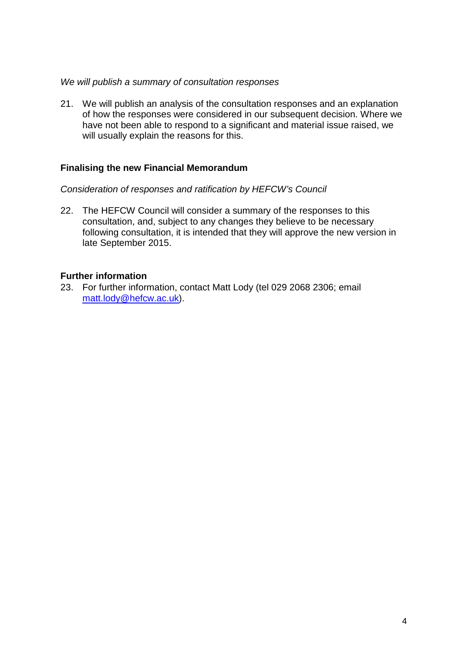#### *We will publish a summary of consultation responses*

21. We will publish an analysis of the consultation responses and an explanation of how the responses were considered in our subsequent decision. Where we have not been able to respond to a significant and material issue raised, we will usually explain the reasons for this.

#### **Finalising the new Financial Memorandum**

*Consideration of responses and ratification by HEFCW's Council*

22. The HEFCW Council will consider a summary of the responses to this consultation, and, subject to any changes they believe to be necessary following consultation, it is intended that they will approve the new version in late September 2015.

#### **Further information**

23. For further information, contact Matt Lody (tel 029 2068 2306; email [matt.lody@hefcw.ac.uk\)](mailto:matt.lody@hefcw.ac.uk).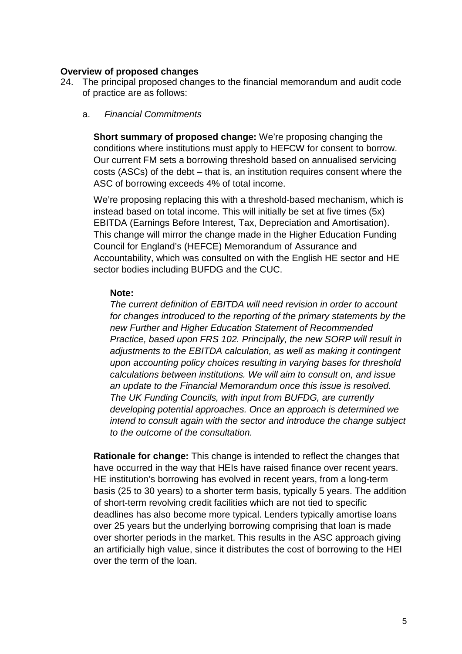#### **Overview of proposed changes**

24. The principal proposed changes to the financial memorandum and audit code of practice are as follows:

#### a. *Financial Commitments*

**Short summary of proposed change:** We're proposing changing the conditions where institutions must apply to HEFCW for consent to borrow. Our current FM sets a borrowing threshold based on annualised servicing costs (ASCs) of the debt – that is, an institution requires consent where the ASC of borrowing exceeds 4% of total income.

We're proposing replacing this with a threshold-based mechanism, which is instead based on total income. This will initially be set at five times (5x) EBITDA (Earnings Before Interest, Tax, Depreciation and Amortisation). This change will mirror the change made in the Higher Education Funding Council for England's (HEFCE) Memorandum of Assurance and Accountability, which was consulted on with the English HE sector and HE sector bodies including BUFDG and the CUC.

#### **Note:**

*The current definition of EBITDA will need revision in order to account for changes introduced to the reporting of the primary statements by the new Further and Higher Education Statement of Recommended Practice, based upon FRS 102. Principally, the new SORP will result in adjustments to the EBITDA calculation, as well as making it contingent upon accounting policy choices resulting in varying bases for threshold calculations between institutions. We will aim to consult on, and issue an update to the Financial Memorandum once this issue is resolved. The UK Funding Councils, with input from BUFDG, are currently developing potential approaches. Once an approach is determined we intend to consult again with the sector and introduce the change subject to the outcome of the consultation.*

**Rationale for change:** This change is intended to reflect the changes that have occurred in the way that HEIs have raised finance over recent years. HE institution's borrowing has evolved in recent years, from a long-term basis (25 to 30 years) to a shorter term basis, typically 5 years. The addition of short-term revolving credit facilities which are not tied to specific deadlines has also become more typical. Lenders typically amortise loans over 25 years but the underlying borrowing comprising that loan is made over shorter periods in the market. This results in the ASC approach giving an artificially high value, since it distributes the cost of borrowing to the HEI over the term of the loan.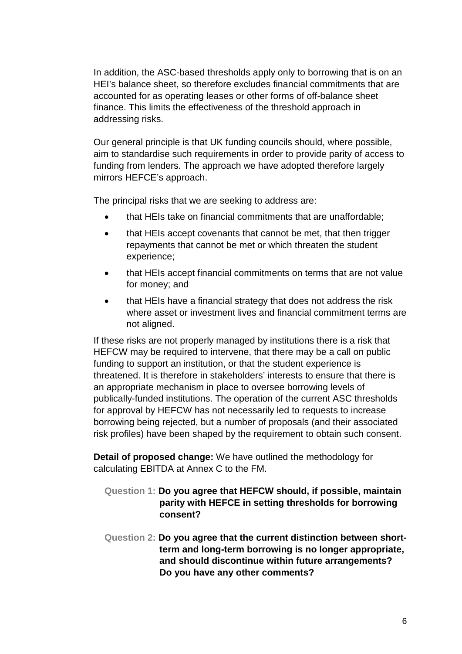In addition, the ASC-based thresholds apply only to borrowing that is on an HEI's balance sheet, so therefore excludes financial commitments that are accounted for as operating leases or other forms of off-balance sheet finance. This limits the effectiveness of the threshold approach in addressing risks.

Our general principle is that UK funding councils should, where possible, aim to standardise such requirements in order to provide parity of access to funding from lenders. The approach we have adopted therefore largely mirrors HEFCE's approach.

The principal risks that we are seeking to address are:

- that HEIs take on financial commitments that are unaffordable;
- that HEIs accept covenants that cannot be met, that then trigger repayments that cannot be met or which threaten the student experience;
- that HEIs accept financial commitments on terms that are not value for money; and
- that HEIs have a financial strategy that does not address the risk where asset or investment lives and financial commitment terms are not aligned.

If these risks are not properly managed by institutions there is a risk that HEFCW may be required to intervene, that there may be a call on public funding to support an institution, or that the student experience is threatened. It is therefore in stakeholders' interests to ensure that there is an appropriate mechanism in place to oversee borrowing levels of publically-funded institutions. The operation of the current ASC thresholds for approval by HEFCW has not necessarily led to requests to increase borrowing being rejected, but a number of proposals (and their associated risk profiles) have been shaped by the requirement to obtain such consent.

**Detail of proposed change:** We have outlined the methodology for calculating EBITDA at Annex C to the FM.

- **Question 1: Do you agree that HEFCW should, if possible, maintain parity with HEFCE in setting thresholds for borrowing consent?**
- **Question 2: Do you agree that the current distinction between shortterm and long-term borrowing is no longer appropriate, and should discontinue within future arrangements? Do you have any other comments?**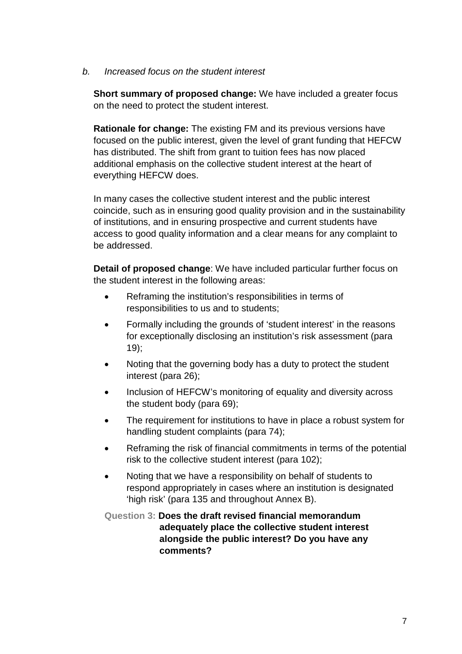#### *b. Increased focus on the student interest*

**Short summary of proposed change:** We have included a greater focus on the need to protect the student interest.

**Rationale for change:** The existing FM and its previous versions have focused on the public interest, given the level of grant funding that HEFCW has distributed. The shift from grant to tuition fees has now placed additional emphasis on the collective student interest at the heart of everything HEFCW does.

In many cases the collective student interest and the public interest coincide, such as in ensuring good quality provision and in the sustainability of institutions, and in ensuring prospective and current students have access to good quality information and a clear means for any complaint to be addressed.

**Detail of proposed change**: We have included particular further focus on the student interest in the following areas:

- Reframing the institution's responsibilities in terms of responsibilities to us and to students;
- Formally including the grounds of 'student interest' in the reasons for exceptionally disclosing an institution's risk assessment (para 19);
- Noting that the governing body has a duty to protect the student interest (para 26);
- Inclusion of HEFCW's monitoring of equality and diversity across the student body (para 69);
- The requirement for institutions to have in place a robust system for handling student complaints (para 74);
- Reframing the risk of financial commitments in terms of the potential risk to the collective student interest (para 102);
- Noting that we have a responsibility on behalf of students to respond appropriately in cases where an institution is designated 'high risk' (para 135 and throughout Annex B).

#### **Question 3: Does the draft revised financial memorandum adequately place the collective student interest alongside the public interest? Do you have any comments?**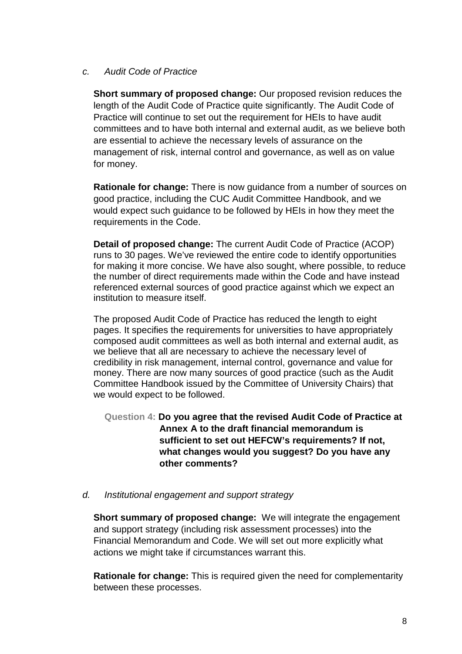#### *c. Audit Code of Practice*

**Short summary of proposed change:** Our proposed revision reduces the length of the Audit Code of Practice quite significantly. The Audit Code of Practice will continue to set out the requirement for HEIs to have audit committees and to have both internal and external audit, as we believe both are essential to achieve the necessary levels of assurance on the management of risk, internal control and governance, as well as on value for money.

**Rationale for change:** There is now guidance from a number of sources on good practice, including the CUC Audit Committee Handbook, and we would expect such guidance to be followed by HEIs in how they meet the requirements in the Code.

**Detail of proposed change:** The current Audit Code of Practice (ACOP) runs to 30 pages. We've reviewed the entire code to identify opportunities for making it more concise. We have also sought, where possible, to reduce the number of direct requirements made within the Code and have instead referenced external sources of good practice against which we expect an institution to measure itself.

The proposed Audit Code of Practice has reduced the length to eight pages. It specifies the requirements for universities to have appropriately composed audit committees as well as both internal and external audit, as we believe that all are necessary to achieve the necessary level of credibility in risk management, internal control, governance and value for money. There are now many sources of good practice (such as the Audit Committee Handbook issued by the Committee of University Chairs) that we would expect to be followed.

**Question 4: Do you agree that the revised Audit Code of Practice at Annex A to the draft financial memorandum is sufficient to set out HEFCW's requirements? If not, what changes would you suggest? Do you have any other comments?**

#### *d. Institutional engagement and support strategy*

**Short summary of proposed change:** We will integrate the engagement and support strategy (including risk assessment processes) into the Financial Memorandum and Code. We will set out more explicitly what actions we might take if circumstances warrant this.

**Rationale for change:** This is required given the need for complementarity between these processes.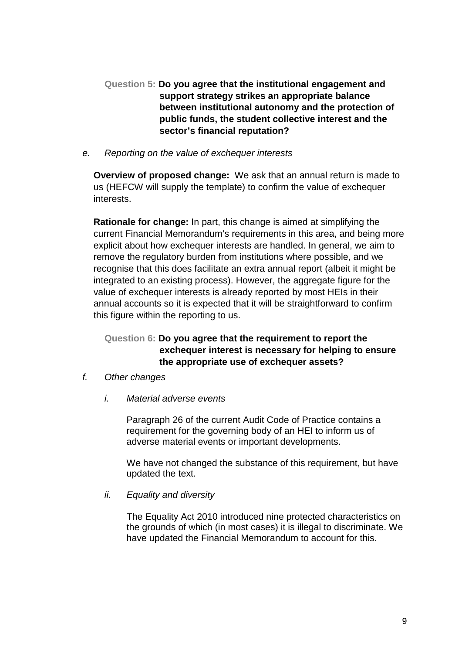**Question 5: Do you agree that the institutional engagement and support strategy strikes an appropriate balance between institutional autonomy and the protection of public funds, the student collective interest and the sector's financial reputation?**

#### *e. Reporting on the value of exchequer interests*

**Overview of proposed change:** We ask that an annual return is made to us (HEFCW will supply the template) to confirm the value of exchequer interests.

**Rationale for change:** In part, this change is aimed at simplifying the current Financial Memorandum's requirements in this area, and being more explicit about how exchequer interests are handled. In general, we aim to remove the regulatory burden from institutions where possible, and we recognise that this does facilitate an extra annual report (albeit it might be integrated to an existing process). However, the aggregate figure for the value of exchequer interests is already reported by most HEIs in their annual accounts so it is expected that it will be straightforward to confirm this figure within the reporting to us.

#### **Question 6: Do you agree that the requirement to report the exchequer interest is necessary for helping to ensure the appropriate use of exchequer assets?**

- *f. Other changes*
	- *i. Material adverse events*

Paragraph 26 of the current Audit Code of Practice contains a requirement for the governing body of an HEI to inform us of adverse material events or important developments.

We have not changed the substance of this requirement, but have updated the text.

#### *ii. Equality and diversity*

The Equality Act 2010 introduced nine protected characteristics on the grounds of which (in most cases) it is illegal to discriminate. We have updated the Financial Memorandum to account for this.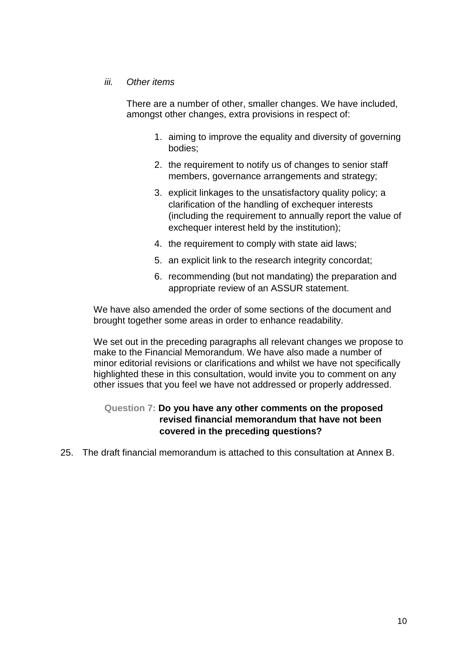#### *iii. Other items*

There are a number of other, smaller changes. We have included, amongst other changes, extra provisions in respect of:

- 1. aiming to improve the equality and diversity of governing bodies;
- 2. the requirement to notify us of changes to senior staff members, governance arrangements and strategy;
- 3. explicit linkages to the unsatisfactory quality policy; a clarification of the handling of exchequer interests (including the requirement to annually report the value of exchequer interest held by the institution):
- 4. the requirement to comply with state aid laws;
- 5. an explicit link to the research integrity concordat;
- 6. recommending (but not mandating) the preparation and appropriate review of an ASSUR statement.

We have also amended the order of some sections of the document and brought together some areas in order to enhance readability.

We set out in the preceding paragraphs all relevant changes we propose to make to the Financial Memorandum. We have also made a number of minor editorial revisions or clarifications and whilst we have not specifically highlighted these in this consultation, would invite you to comment on any other issues that you feel we have not addressed or properly addressed.

#### **Question 7: Do you have any other comments on the proposed revised financial memorandum that have not been covered in the preceding questions?**

25. The draft financial memorandum is attached to this consultation at Annex B.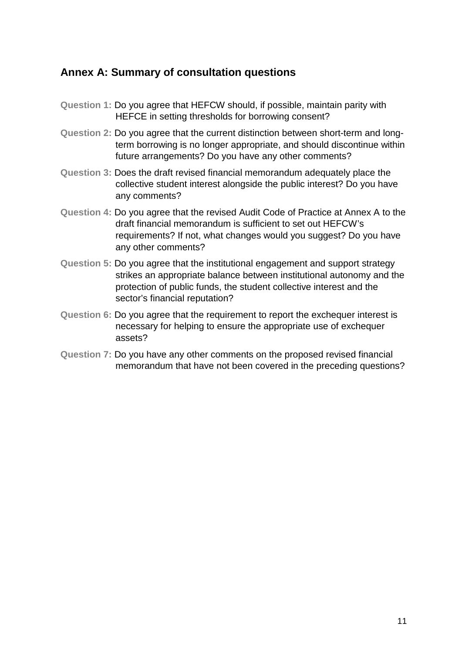#### **Annex A: Summary of consultation questions**

- **Question 1:** Do you agree that HEFCW should, if possible, maintain parity with HEFCE in setting thresholds for borrowing consent?
- **Question 2:** Do you agree that the current distinction between short-term and longterm borrowing is no longer appropriate, and should discontinue within future arrangements? Do you have any other comments?
- **Question 3:** Does the draft revised financial memorandum adequately place the collective student interest alongside the public interest? Do you have any comments?
- **Question 4:** Do you agree that the revised Audit Code of Practice at Annex A to the draft financial memorandum is sufficient to set out HEFCW's requirements? If not, what changes would you suggest? Do you have any other comments?
- **Question 5:** Do you agree that the institutional engagement and support strategy strikes an appropriate balance between institutional autonomy and the protection of public funds, the student collective interest and the sector's financial reputation?
- **Question 6:** Do you agree that the requirement to report the exchequer interest is necessary for helping to ensure the appropriate use of exchequer assets?
- **Question 7:** Do you have any other comments on the proposed revised financial memorandum that have not been covered in the preceding questions?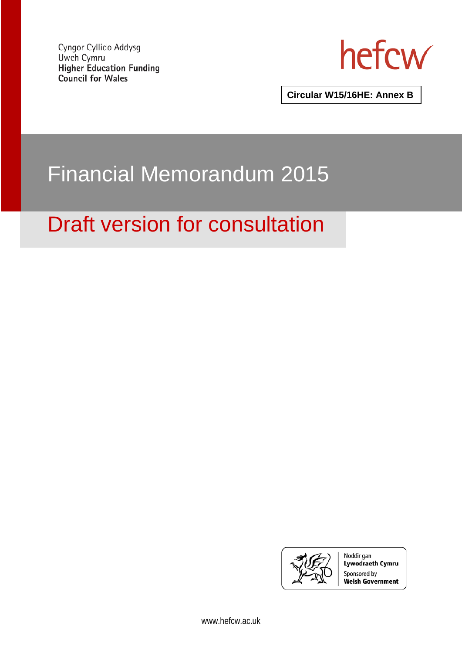Cyngor Cyllido Addysg Uwch Cymru **Higher Education Funding Council for Wales** 



**Circular W15/16HE: Annex B**

## Financial Memorandum 2015

## Draft version for consultation



Noddir gan Lywodraeth Cymru Sponsored by **Welsh Government**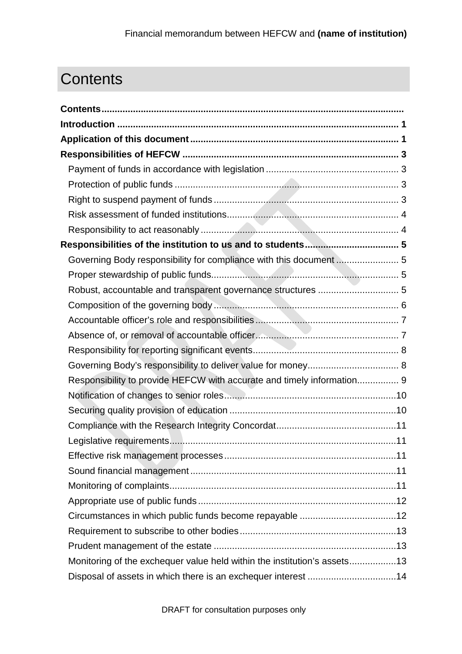### <span id="page-13-0"></span>**Contents**

| Governing Body responsibility for compliance with this document  5       |  |
|--------------------------------------------------------------------------|--|
|                                                                          |  |
| Robust, accountable and transparent governance structures  5             |  |
|                                                                          |  |
|                                                                          |  |
|                                                                          |  |
|                                                                          |  |
|                                                                          |  |
| Responsibility to provide HEFCW with accurate and timely information 9   |  |
|                                                                          |  |
|                                                                          |  |
|                                                                          |  |
|                                                                          |  |
|                                                                          |  |
|                                                                          |  |
|                                                                          |  |
|                                                                          |  |
| Circumstances in which public funds become repayable 12                  |  |
|                                                                          |  |
|                                                                          |  |
| Monitoring of the exchequer value held within the institution's assets13 |  |
| Disposal of assets in which there is an exchequer interest 14            |  |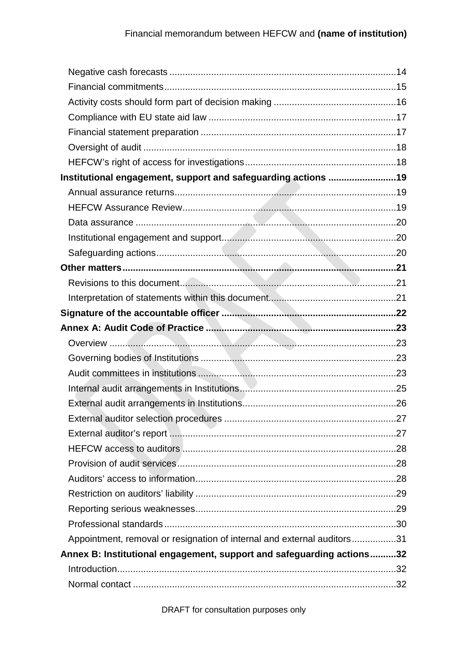| Institutional engagement, support and safeguarding actions 19           |  |
|-------------------------------------------------------------------------|--|
|                                                                         |  |
|                                                                         |  |
|                                                                         |  |
|                                                                         |  |
|                                                                         |  |
|                                                                         |  |
|                                                                         |  |
|                                                                         |  |
|                                                                         |  |
|                                                                         |  |
|                                                                         |  |
|                                                                         |  |
|                                                                         |  |
|                                                                         |  |
|                                                                         |  |
|                                                                         |  |
|                                                                         |  |
|                                                                         |  |
|                                                                         |  |
|                                                                         |  |
|                                                                         |  |
|                                                                         |  |
|                                                                         |  |
| Appointment, removal or resignation of internal and external auditors31 |  |
| Annex B: Institutional engagement, support and safeguarding actions32   |  |
|                                                                         |  |
|                                                                         |  |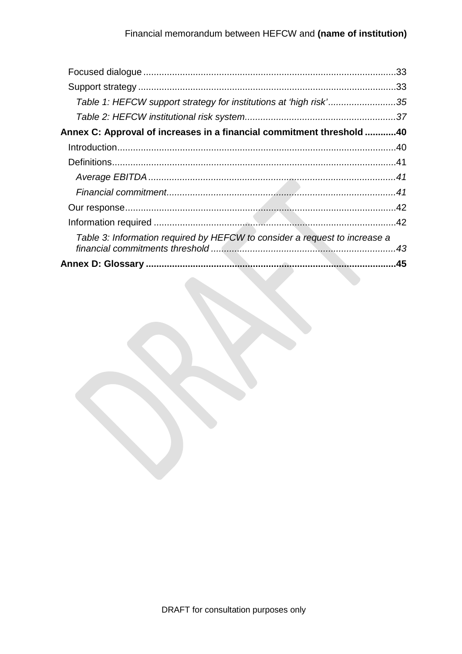|                                                                            | .33 |
|----------------------------------------------------------------------------|-----|
|                                                                            | .33 |
| Table 1: HEFCW support strategy for institutions at 'high risk'35          |     |
|                                                                            |     |
| Annex C: Approval of increases in a financial commitment threshold 40      |     |
|                                                                            |     |
|                                                                            |     |
|                                                                            |     |
|                                                                            |     |
|                                                                            |     |
|                                                                            |     |
| Table 3: Information required by HEFCW to consider a request to increase a |     |
|                                                                            |     |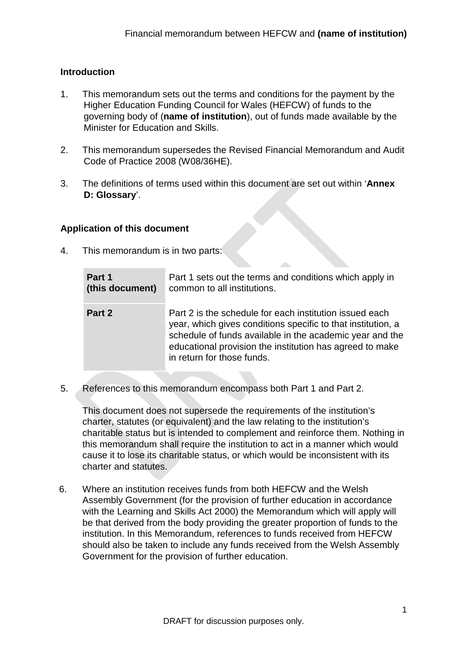#### <span id="page-16-0"></span>**Introduction**

- 1. This memorandum sets out the terms and conditions for the payment by the Higher Education Funding Council for Wales (HEFCW) of funds to the governing body of (**name of institution**), out of funds made available by the Minister for Education and Skills.
- 2. This memorandum supersedes the Revised Financial Memorandum and Audit Code of Practice 2008 (W08/36HE).
- 3. The definitions of terms used within this document are set out within '**[Annex](#page-60-0)  [D: Glossary](#page-60-0)**'.

#### <span id="page-16-1"></span>**Application of this document**

4. This memorandum is in two parts:

| Part 1          | Part 1 sets out the terms and conditions which apply in                                                                                                                                                                                                                       |
|-----------------|-------------------------------------------------------------------------------------------------------------------------------------------------------------------------------------------------------------------------------------------------------------------------------|
| (this document) | common to all institutions.                                                                                                                                                                                                                                                   |
| Part 2          | Part 2 is the schedule for each institution issued each<br>year, which gives conditions specific to that institution, a<br>schedule of funds available in the academic year and the<br>educational provision the institution has agreed to make<br>in return for those funds. |

5. References to this memorandum encompass both Part 1 and Part 2.

This document does not supersede the requirements of the institution's charter, statutes (or equivalent) and the law relating to the institution's charitable status but is intended to complement and reinforce them. Nothing in this memorandum shall require the institution to act in a manner which would cause it to lose its charitable status, or which would be inconsistent with its charter and statutes.

6. Where an institution receives funds from both HEFCW and the Welsh Assembly Government (for the provision of further education in accordance with the Learning and Skills Act 2000) the Memorandum which will apply will be that derived from the body providing the greater proportion of funds to the institution. In this Memorandum, references to funds received from HEFCW should also be taken to include any funds received from the Welsh Assembly Government for the provision of further education.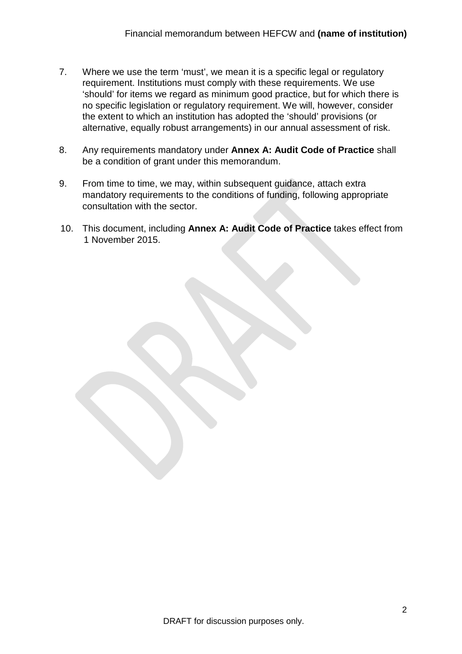- 7. Where we use the term 'must', we mean it is a specific legal or regulatory requirement. Institutions must comply with these requirements. We use 'should' for items we regard as minimum good practice, but for which there is no specific legislation or regulatory requirement. We will, however, consider the extent to which an institution has adopted the 'should' provisions (or alternative, equally robust arrangements) in our annual assessment of risk.
- 8. Any requirements mandatory under **[Annex A: Audit Code of Practice](#page-38-0)** shall be a condition of grant under this memorandum.
- 9. From time to time, we may, within subsequent guidance, attach extra mandatory requirements to the conditions of funding, following appropriate consultation with the sector.
- 10. This document, including **[Annex A: Audit Code of Practice](#page-38-0)** takes effect from 1 November 2015.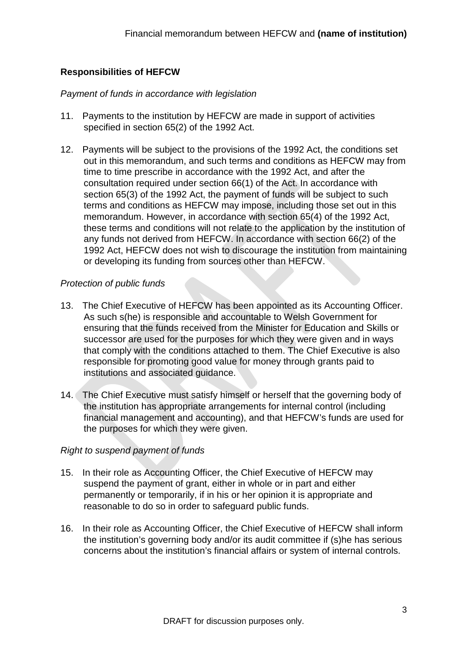#### <span id="page-18-0"></span>**Responsibilities of HEFCW**

#### <span id="page-18-1"></span>*Payment of funds in accordance with legislation*

- 11. Payments to the institution by HEFCW are made in support of activities specified in section 65(2) of the 1992 Act.
- 12. Payments will be subject to the provisions of the 1992 Act, the conditions set out in this memorandum, and such terms and conditions as HEFCW may from time to time prescribe in accordance with the 1992 Act, and after the consultation required under section 66(1) of the Act. In accordance with section 65(3) of the 1992 Act, the payment of funds will be subject to such terms and conditions as HEFCW may impose, including those set out in this memorandum. However, in accordance with section 65(4) of the 1992 Act, these terms and conditions will not relate to the application by the institution of any funds not derived from HEFCW. In accordance with section 66(2) of the 1992 Act, HEFCW does not wish to discourage the institution from maintaining or developing its funding from sources other than HEFCW.

#### <span id="page-18-2"></span>*Protection of public funds*

- 13. The Chief Executive of HEFCW has been appointed as its Accounting Officer. As such s(he) is responsible and accountable to Welsh Government for ensuring that the funds received from the Minister for Education and Skills or successor are used for the purposes for which they were given and in ways that comply with the conditions attached to them. The Chief Executive is also responsible for promoting good value for money through grants paid to institutions and associated guidance.
- 14. The Chief Executive must satisfy himself or herself that the governing body of the institution has appropriate arrangements for internal control (including financial management and accounting), and that HEFCW's funds are used for the purposes for which they were given.

#### <span id="page-18-3"></span>*Right to suspend payment of funds*

- 15. In their role as Accounting Officer, the Chief Executive of HEFCW may suspend the payment of grant, either in whole or in part and either permanently or temporarily, if in his or her opinion it is appropriate and reasonable to do so in order to safeguard public funds.
- 16. In their role as Accounting Officer, the Chief Executive of HEFCW shall inform the institution's governing body and/or its audit committee if (s)he has serious concerns about the institution's financial affairs or system of internal controls.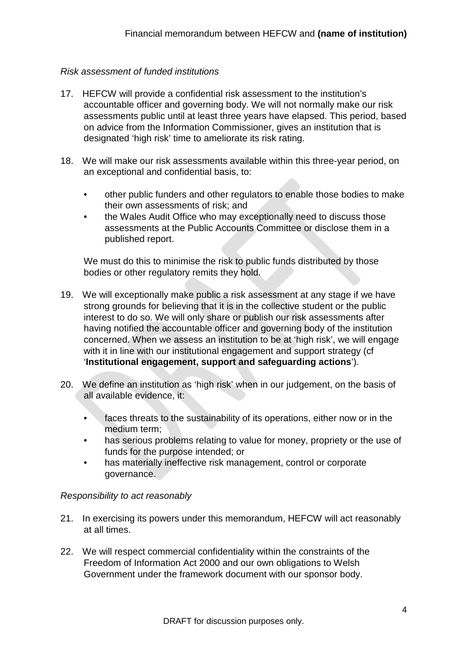#### <span id="page-19-0"></span>*Risk assessment of funded institutions*

- 17. HEFCW will provide a confidential risk assessment to the institution's accountable officer and governing body. We will not normally make our risk assessments public until at least three years have elapsed. This period, based on advice from the Information Commissioner, gives an institution that is designated 'high risk' time to ameliorate its risk rating.
- 18. We will make our risk assessments available within this three-year period, on an exceptional and confidential basis, to:
	- other public funders and other regulators to enable those bodies to make their own assessments of risk; and
	- the Wales Audit Office who may exceptionally need to discuss those assessments at the Public Accounts Committee or disclose them in a published report.

We must do this to minimise the risk to public funds distributed by those bodies or other regulatory remits they hold.

- <span id="page-19-2"></span>19. We will exceptionally make public a risk assessment at any stage if we have strong grounds for believing that it is in the collective student or the public interest to do so. We will only share or publish our risk assessments after having notified the accountable officer and governing body of the institution concerned. When we assess an institution to be at 'high risk', we will engage with it in line with our institutional engagement and support strategy (cf. '**[Institutional engagement, support and safeguarding actions](#page-34-0)**').
- 20. We define an institution as 'high risk' when in our judgement, on the basis of all available evidence, it:
	- faces threats to the sustainability of its operations, either now or in the medium term;
	- has serious problems relating to value for money, propriety or the use of funds for the purpose intended; or
	- has materially ineffective risk management, control or corporate governance.

#### <span id="page-19-1"></span>*Responsibility to act reasonably*

- 21. In exercising its powers under this memorandum, HEFCW will act reasonably at all times.
- 22. We will respect commercial confidentiality within the constraints of the Freedom of Information Act 2000 and our own obligations to Welsh Government under the framework document with our sponsor body.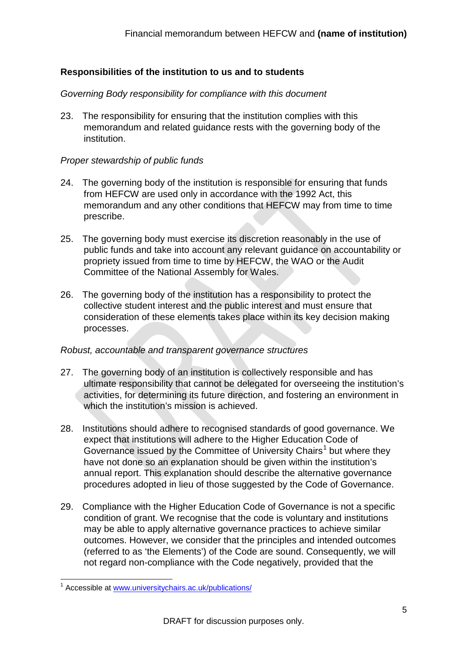#### <span id="page-20-0"></span>**Responsibilities of the institution to us and to students**

#### <span id="page-20-1"></span>*Governing Body responsibility for compliance with this document*

23. The responsibility for ensuring that the institution complies with this memorandum and related guidance rests with the governing body of the institution.

#### <span id="page-20-2"></span>*Proper stewardship of public funds*

- 24. The governing body of the institution is responsible for ensuring that funds from HEFCW are used only in accordance with the 1992 Act, this memorandum and any other conditions that HEFCW may from time to time prescribe.
- 25. The governing body must exercise its discretion reasonably in the use of public funds and take into account any relevant guidance on accountability or propriety issued from time to time by HEFCW, the WAO or the Audit Committee of the National Assembly for Wales.
- 26. The governing body of the institution has a responsibility to protect the collective student interest and the public interest and must ensure that consideration of these elements takes place within its key decision making processes.

#### <span id="page-20-3"></span>*Robust, accountable and transparent governance structures*

- 27. The governing body of an institution is collectively responsible and has ultimate responsibility that cannot be delegated for overseeing the institution's activities, for determining its future direction, and fostering an environment in which the institution's mission is achieved.
- 28. Institutions should adhere to recognised standards of good governance. We expect that institutions will adhere to the Higher Education Code of Governance issued by the Committee of University Chairs<sup>[1](#page-20-4)</sup> but where they have not done so an explanation should be given within the institution's annual report. This explanation should describe the alternative governance procedures adopted in lieu of those suggested by the Code of Governance.
- 29. Compliance with the Higher Education Code of Governance is not a specific condition of grant. We recognise that the code is voluntary and institutions may be able to apply alternative governance practices to achieve similar outcomes. However, we consider that the principles and intended outcomes (referred to as 'the Elements') of the Code are sound. Consequently, we will not regard non-compliance with the Code negatively, provided that the

<span id="page-20-4"></span> <sup>1</sup> Accessible at [www.universitychairs.ac.uk/publications/](http://www.universitychairs.ac.uk/publications/)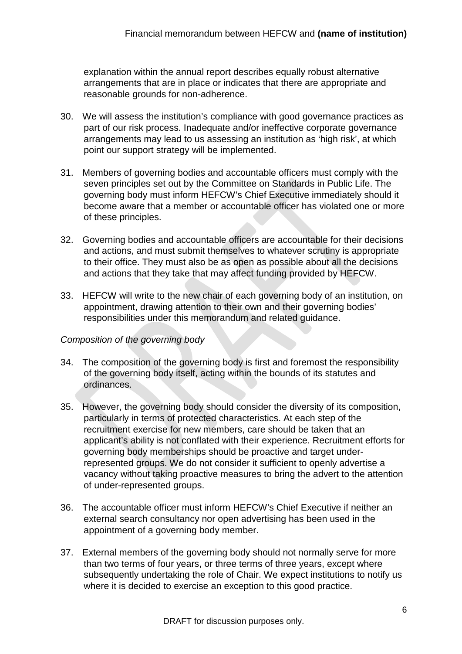explanation within the annual report describes equally robust alternative arrangements that are in place or indicates that there are appropriate and reasonable grounds for non-adherence.

- 30. We will assess the institution's compliance with good governance practices as part of our risk process. Inadequate and/or ineffective corporate governance arrangements may lead to us assessing an institution as 'high risk', at which point our support strategy will be implemented.
- 31. Members of governing bodies and accountable officers must comply with the seven principles set out by the Committee on Standards in Public Life. The governing body must inform HEFCW's Chief Executive immediately should it become aware that a member or accountable officer has violated one or more of these principles.
- 32. Governing bodies and accountable officers are accountable for their decisions and actions, and must submit themselves to whatever scrutiny is appropriate to their office. They must also be as open as possible about all the decisions and actions that they take that may affect funding provided by HEFCW.
- 33. HEFCW will write to the new chair of each governing body of an institution, on appointment, drawing attention to their own and their governing bodies' responsibilities under this memorandum and related guidance.

#### <span id="page-21-0"></span>*Composition of the governing body*

- 34. The composition of the governing body is first and foremost the responsibility of the governing body itself, acting within the bounds of its statutes and ordinances.
- 35. However, the governing body should consider the diversity of its composition, particularly in terms of protected characteristics. At each step of the recruitment exercise for new members, care should be taken that an applicant's ability is not conflated with their experience. Recruitment efforts for governing body memberships should be proactive and target underrepresented groups. We do not consider it sufficient to openly advertise a vacancy without taking proactive measures to bring the advert to the attention of under-represented groups.
- 36. The accountable officer must inform HEFCW's Chief Executive if neither an external search consultancy nor open advertising has been used in the appointment of a governing body member.
- 37. External members of the governing body should not normally serve for more than two terms of four years, or three terms of three years, except where subsequently undertaking the role of Chair. We expect institutions to notify us where it is decided to exercise an exception to this good practice.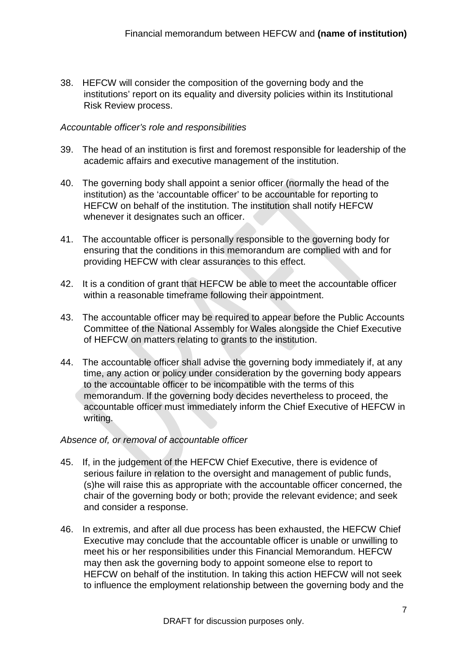38. HEFCW will consider the composition of the governing body and the institutions' report on its equality and diversity policies within its Institutional Risk Review process.

#### <span id="page-22-0"></span>*Accountable officer's role and responsibilities*

- 39. The head of an institution is first and foremost responsible for leadership of the academic affairs and executive management of the institution.
- 40. The governing body shall appoint a senior officer (normally the head of the institution) as the 'accountable officer' to be accountable for reporting to HEFCW on behalf of the institution. The institution shall notify HEFCW whenever it designates such an officer.
- 41. The accountable officer is personally responsible to the governing body for ensuring that the conditions in this memorandum are complied with and for providing HEFCW with clear assurances to this effect.
- 42. It is a condition of grant that HEFCW be able to meet the accountable officer within a reasonable timeframe following their appointment.
- 43. The accountable officer may be required to appear before the Public Accounts Committee of the National Assembly for Wales alongside the Chief Executive of HEFCW on matters relating to grants to the institution.
- 44. The accountable officer shall advise the governing body immediately if, at any time, any action or policy under consideration by the governing body appears to the accountable officer to be incompatible with the terms of this memorandum. If the governing body decides nevertheless to proceed, the accountable officer must immediately inform the Chief Executive of HEFCW in writing.

#### <span id="page-22-1"></span>*Absence of, or removal of accountable officer*

- 45. If, in the judgement of the HEFCW Chief Executive, there is evidence of serious failure in relation to the oversight and management of public funds, (s)he will raise this as appropriate with the accountable officer concerned, the chair of the governing body or both; provide the relevant evidence; and seek and consider a response.
- 46. In extremis, and after all due process has been exhausted, the HEFCW Chief Executive may conclude that the accountable officer is unable or unwilling to meet his or her responsibilities under this Financial Memorandum. HEFCW may then ask the governing body to appoint someone else to report to HEFCW on behalf of the institution. In taking this action HEFCW will not seek to influence the employment relationship between the governing body and the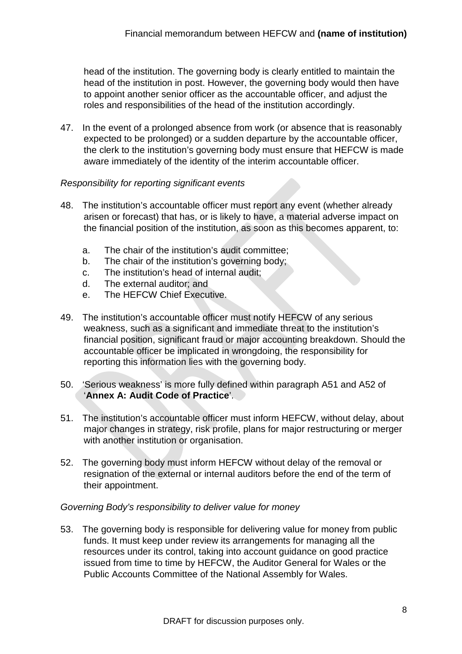head of the institution. The governing body is clearly entitled to maintain the head of the institution in post. However, the governing body would then have to appoint another senior officer as the accountable officer, and adjust the roles and responsibilities of the head of the institution accordingly.

47. In the event of a prolonged absence from work (or absence that is reasonably expected to be prolonged) or a sudden departure by the accountable officer, the clerk to the institution's governing body must ensure that HEFCW is made aware immediately of the identity of the interim accountable officer.

#### <span id="page-23-0"></span>*Responsibility for reporting significant events*

- 48. The institution's accountable officer must report any event (whether already arisen or forecast) that has, or is likely to have, a material adverse impact on the financial position of the institution, as soon as this becomes apparent, to:
	- a. The chair of the institution's audit committee;
	- b. The chair of the institution's governing body;
	- c. The institution's head of internal audit;
	- d. The external auditor; and
	- e. The HEFCW Chief Executive.
- 49. The institution's accountable officer must notify HEFCW of any serious weakness, such as a significant and immediate threat to the institution's financial position, significant fraud or major accounting breakdown. Should the accountable officer be implicated in wrongdoing, the responsibility for reporting this information lies with the governing body.
- 50. 'Serious weakness' is more fully defined within paragraph [A51](#page-44-2) and [A52](#page-44-3) of '**[Annex A: Audit Code of Practice](#page-38-0)**'.
- 51. The institution's accountable officer must inform HEFCW, without delay, about major changes in strategy, risk profile, plans for major restructuring or merger with another institution or organisation.
- 52. The governing body must inform HEFCW without delay of the removal or resignation of the external or internal auditors before the end of the term of their appointment.

#### <span id="page-23-1"></span>*Governing Body's responsibility to deliver value for money*

53. The governing body is responsible for delivering value for money from public funds. It must keep under review its arrangements for managing all the resources under its control, taking into account guidance on good practice issued from time to time by HEFCW, the Auditor General for Wales or the Public Accounts Committee of the National Assembly for Wales.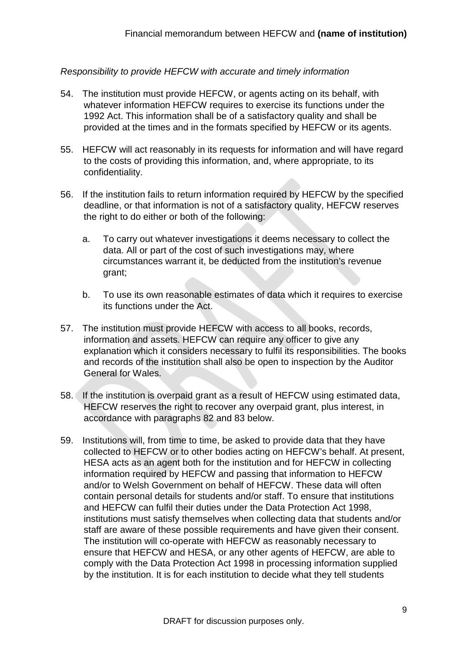#### <span id="page-24-0"></span>*Responsibility to provide HEFCW with accurate and timely information*

- 54. The institution must provide HEFCW, or agents acting on its behalf, with whatever information HEFCW requires to exercise its functions under the 1992 Act. This information shall be of a satisfactory quality and shall be provided at the times and in the formats specified by HEFCW or its agents.
- 55. HEFCW will act reasonably in its requests for information and will have regard to the costs of providing this information, and, where appropriate, to its confidentiality.
- 56. If the institution fails to return information required by HEFCW by the specified deadline, or that information is not of a satisfactory quality, HEFCW reserves the right to do either or both of the following:
	- a. To carry out whatever investigations it deems necessary to collect the data. All or part of the cost of such investigations may, where circumstances warrant it, be deducted from the institution's revenue grant;
	- b. To use its own reasonable estimates of data which it requires to exercise its functions under the Act.
- 57. The institution must provide HEFCW with access to all books, records, information and assets. HEFCW can require any officer to give any explanation which it considers necessary to fulfil its responsibilities. The books and records of the institution shall also be open to inspection by the Auditor General for Wales.
- <span id="page-24-1"></span>58. If the institution is overpaid grant as a result of HEFCW using estimated data, HEFCW reserves the right to recover any overpaid grant, plus interest, in accordance with paragraphs [82](#page-28-3) and [83](#page-28-4) below.
- 59. Institutions will, from time to time, be asked to provide data that they have collected to HEFCW or to other bodies acting on HEFCW's behalf. At present, HESA acts as an agent both for the institution and for HEFCW in collecting information required by HEFCW and passing that information to HEFCW and/or to Welsh Government on behalf of HEFCW. These data will often contain personal details for students and/or staff. To ensure that institutions and HEFCW can fulfil their duties under the Data Protection Act 1998, institutions must satisfy themselves when collecting data that students and/or staff are aware of these possible requirements and have given their consent. The institution will co-operate with HEFCW as reasonably necessary to ensure that HEFCW and HESA, or any other agents of HEFCW, are able to comply with the Data Protection Act 1998 in processing information supplied by the institution. It is for each institution to decide what they tell students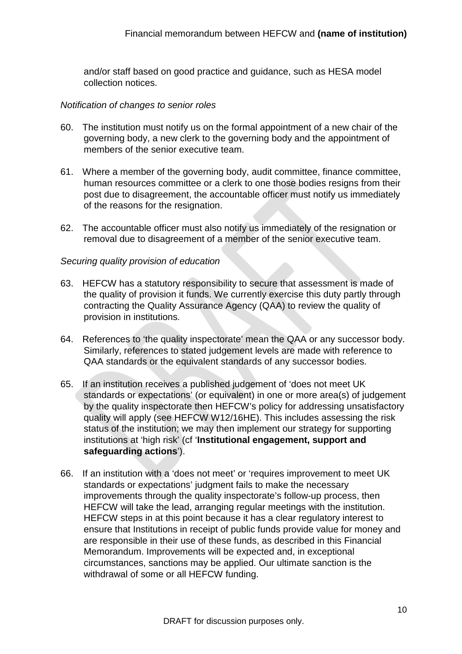and/or staff based on good practice and guidance, such as HESA model collection notices.

#### <span id="page-25-0"></span>*Notification of changes to senior roles*

- 60. The institution must notify us on the formal appointment of a new chair of the governing body, a new clerk to the governing body and the appointment of members of the senior executive team.
- 61. Where a member of the governing body, audit committee, finance committee, human resources committee or a clerk to one those bodies resigns from their post due to disagreement, the accountable officer must notify us immediately of the reasons for the resignation.
- 62. The accountable officer must also notify us immediately of the resignation or removal due to disagreement of a member of the senior executive team.

#### <span id="page-25-1"></span>*Securing quality provision of education*

- <span id="page-25-2"></span>63. HEFCW has a statutory responsibility to secure that assessment is made of the quality of provision it funds. We currently exercise this duty partly through contracting the Quality Assurance Agency (QAA) to review the quality of provision in institutions.
- 64. References to 'the quality inspectorate' mean the QAA or any successor body. Similarly, references to stated judgement levels are made with reference to QAA standards or the equivalent standards of any successor bodies.
- 65. If an institution receives a published judgement of 'does not meet UK standards or expectations' (or equivalent) in one or more area(s) of judgement by the quality inspectorate then HEFCW's policy for addressing unsatisfactory quality will apply (see HEFCW W12/16HE). This includes assessing the risk status of the institution; we may then implement our strategy for supporting institutions at 'high risk' (cf '**[Institutional engagement, support and](#page-34-0)  [safeguarding actions](#page-34-0)**').
- 66. If an institution with a 'does not meet' or 'requires improvement to meet UK standards or expectations' judgment fails to make the necessary improvements through the quality inspectorate's follow-up process, then HEFCW will take the lead, arranging regular meetings with the institution. HEFCW steps in at this point because it has a clear regulatory interest to ensure that Institutions in receipt of public funds provide value for money and are responsible in their use of these funds, as described in this Financial Memorandum. Improvements will be expected and, in exceptional circumstances, sanctions may be applied. Our ultimate sanction is the withdrawal of some or all HEFCW funding.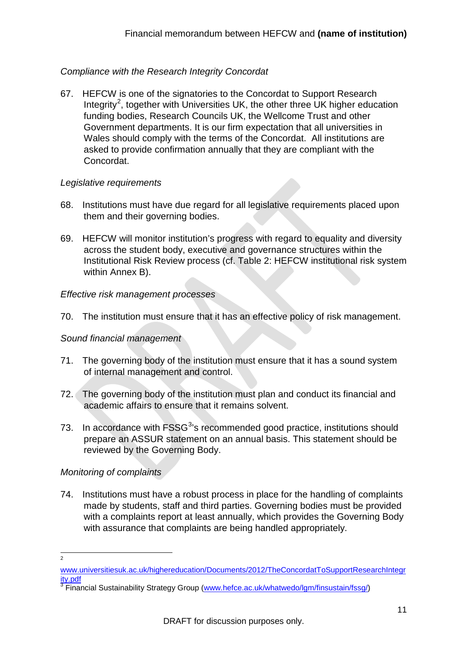#### <span id="page-26-0"></span>*Compliance with the Research Integrity Concordat*

67. HEFCW is one of the signatories to the [Concordat to Support Research](http://www.universitiesuk.ac.uk/highereducation/Documents/2012/TheConcordatToSupportResearchIntegrity.pdf)  [Integrity](http://www.universitiesuk.ac.uk/highereducation/Documents/2012/TheConcordatToSupportResearchIntegrity.pdf)<sup>[2](#page-26-5)</sup>, together with Universities UK, the other three UK higher education funding bodies, Research Councils UK, the Wellcome Trust and other Government departments. It is our firm expectation that all universities in Wales should comply with the terms of the Concordat. All institutions are asked to provide confirmation annually that they are compliant with the Concordat.

#### <span id="page-26-1"></span>*Legislative requirements*

- 68. Institutions must have due regard for all legislative requirements placed upon them and their governing bodies.
- 69. HEFCW will monitor institution's progress with regard to equality and diversity across the student body, executive and governance structures within the Institutional Risk Review process (cf. [Table 2: HEFCW institutional risk system](#page-51-0) within Annex B).

#### <span id="page-26-2"></span>*Effective risk management processes*

70. The institution must ensure that it has an effective policy of risk management.

#### <span id="page-26-3"></span>*Sound financial management*

- 71. The governing body of the institution must ensure that it has a sound system of internal management and control.
- 72. The governing body of the institution must plan and conduct its financial and academic affairs to ensure that it remains solvent.
- 7[3](#page-26-6). In accordance with FSSG<sup>3</sup>'s recommended good practice, institutions should prepare an ASSUR statement on an annual basis. This statement should be reviewed by the Governing Body.

#### <span id="page-26-4"></span>*Monitoring of complaints*

74. Institutions must have a robust process in place for the handling of complaints made by students, staff and third parties. Governing bodies must be provided with a complaints report at least annually, which provides the Governing Body with assurance that complaints are being handled appropriately.

 $\frac{1}{2}$ 

<span id="page-26-5"></span>[www.universitiesuk.ac.uk/highereducation/Documents/2012/TheConcordatToSupportResearchIntegr](http://www.universitiesuk.ac.uk/highereducation/Documents/2012/TheConcordatToSupportResearchIntegrity.pdf) [ity.pdf](http://www.universitiesuk.ac.uk/highereducation/Documents/2012/TheConcordatToSupportResearchIntegrity.pdf)

<span id="page-26-6"></span><sup>&</sup>lt;sup>3</sup> Financial Sustainability Strategy Group [\(www.hefce.ac.uk/whatwedo/lgm/finsustain/fssg/\)](http://www.hefce.ac.uk/whatwedo/lgm/finsustain/fssg/)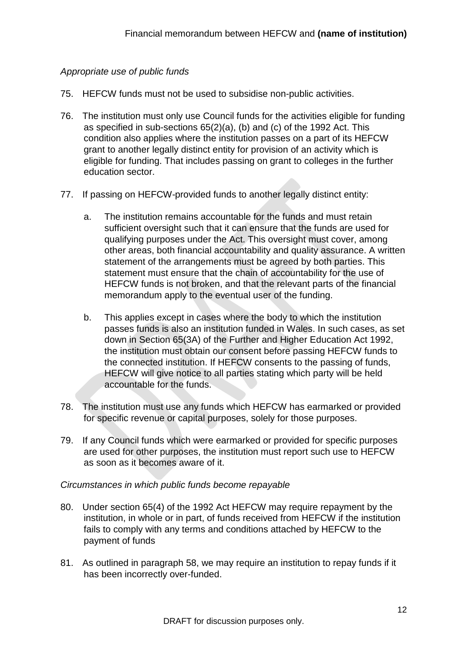#### <span id="page-27-0"></span>*Appropriate use of public funds*

- 75. HEFCW funds must not be used to subsidise non-public activities.
- 76. The institution must only use Council funds for the activities eligible for funding as specified in sub-sections 65(2)(a), (b) and (c) of the 1992 Act. This condition also applies where the institution passes on a part of its HEFCW grant to another legally distinct entity for provision of an activity which is eligible for funding. That includes passing on grant to colleges in the further education sector.
- 77. If passing on HEFCW-provided funds to another legally distinct entity:
	- a. The institution remains accountable for the funds and must retain sufficient oversight such that it can ensure that the funds are used for qualifying purposes under the Act. This oversight must cover, among other areas, both financial accountability and quality assurance. A written statement of the arrangements must be agreed by both parties. This statement must ensure that the chain of accountability for the use of HEFCW funds is not broken, and that the relevant parts of the financial memorandum apply to the eventual user of the funding.
	- b. This applies except in cases where the body to which the institution passes funds is also an institution funded in Wales. In such cases, as set down in Section 65(3A) of the Further and Higher Education Act 1992, the institution must obtain our consent before passing HEFCW funds to the connected institution. If HEFCW consents to the passing of funds, HEFCW will give notice to all parties stating which party will be held accountable for the funds.
- 78. The institution must use any funds which HEFCW has earmarked or provided for specific revenue or capital purposes, solely for those purposes.
- 79. If any Council funds which were earmarked or provided for specific purposes are used for other purposes, the institution must report such use to HEFCW as soon as it becomes aware of it.

#### <span id="page-27-1"></span>*Circumstances in which public funds become repayable*

- 80. Under section 65(4) of the 1992 Act HEFCW may require repayment by the institution, in whole or in part, of funds received from HEFCW if the institution fails to comply with any terms and conditions attached by HEFCW to the payment of funds
- 81. As outlined in paragraph [58,](#page-24-1) we may require an institution to repay funds if it has been incorrectly over-funded.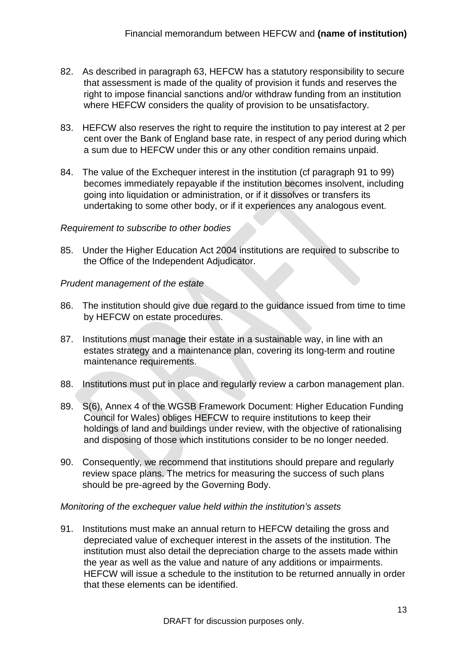- <span id="page-28-3"></span>82. As described in paragraph [63,](#page-25-2) HEFCW has a statutory responsibility to secure that assessment is made of the quality of provision it funds and reserves the right to impose financial sanctions and/or withdraw funding from an institution where HEFCW considers the quality of provision to be unsatisfactory.
- <span id="page-28-4"></span>83. HEFCW also reserves the right to require the institution to pay interest at 2 per cent over the Bank of England base rate, in respect of any period during which a sum due to HEFCW under this or any other condition remains unpaid.
- 84. The value of the Exchequer interest in the institution (cf paragraph [91](#page-28-5) to [99\)](#page-29-2) becomes immediately repayable if the institution becomes insolvent, including going into liquidation or administration, or if it dissolves or transfers its undertaking to some other body, or if it experiences any analogous event.

#### <span id="page-28-0"></span>*Requirement to subscribe to other bodies*

85. Under the Higher Education Act 2004 institutions are required to subscribe to the Office of the Independent Adjudicator.

#### <span id="page-28-1"></span>*Prudent management of the estate*

- 86. The institution should give due regard to the guidance issued from time to time by HEFCW on estate procedures.
- 87. Institutions must manage their estate in a sustainable way, in line with an estates strategy and a maintenance plan, covering its long-term and routine maintenance requirements.
- 88. Institutions must put in place and regularly review a carbon management plan.
- 89. S(6), Annex 4 of the WGSB Framework Document: Higher Education Funding Council for Wales) obliges HEFCW to require institutions to keep their holdings of land and buildings under review, with the objective of rationalising and disposing of those which institutions consider to be no longer needed.
- 90. Consequently, we recommend that institutions should prepare and regularly review space plans. The metrics for measuring the success of such plans should be pre-agreed by the Governing Body.

#### <span id="page-28-2"></span>*Monitoring of the exchequer value held within the institution's assets*

<span id="page-28-5"></span>91. Institutions must make an annual return to HEFCW detailing the gross and depreciated value of exchequer interest in the assets of the institution. The institution must also detail the depreciation charge to the assets made within the year as well as the value and nature of any additions or impairments. HEFCW will issue a schedule to the institution to be returned annually in order that these elements can be identified.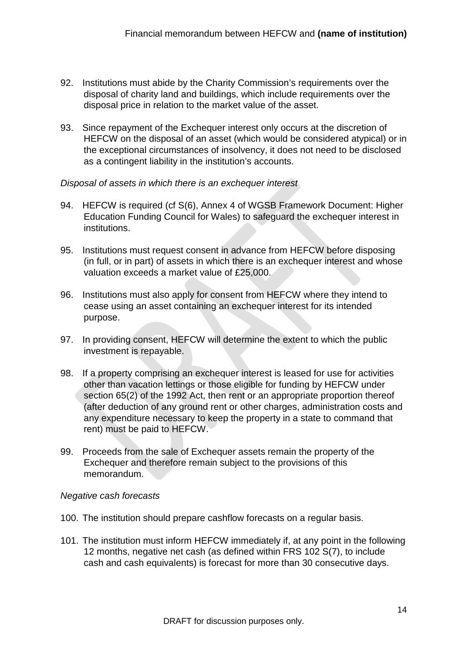- 92. Institutions must abide by the Charity Commission's requirements over the disposal of charity land and buildings, which include requirements over the disposal price in relation to the market value of the asset.
- 93. Since repayment of the Exchequer interest only occurs at the discretion of HEFCW on the disposal of an asset (which would be considered atypical) or in the exceptional circumstances of insolvency, it does not need to be disclosed as a contingent liability in the institution's accounts.

#### <span id="page-29-0"></span>*Disposal of assets in which there is an exchequer interest*

- 94. HEFCW is required (cf S(6), Annex 4 of WGSB Framework Document: Higher Education Funding Council for Wales) to safeguard the exchequer interest in institutions.
- 95. Institutions must request consent in advance from HEFCW before disposing (in full, or in part) of assets in which there is an exchequer interest and whose valuation exceeds a market value of £25,000.
- 96. Institutions must also apply for consent from HEFCW where they intend to cease using an asset containing an exchequer interest for its intended purpose.
- 97. In providing consent, HEFCW will determine the extent to which the public investment is repayable.
- 98. If a property comprising an exchequer interest is leased for use for activities other than vacation lettings or those eligible for funding by HEFCW under section 65(2) of the 1992 Act, then rent or an appropriate proportion thereof (after deduction of any ground rent or other charges, administration costs and any expenditure necessary to keep the property in a state to command that rent) must be paid to HEFCW.
- <span id="page-29-2"></span>99. Proceeds from the sale of Exchequer assets remain the property of the Exchequer and therefore remain subject to the provisions of this memorandum.

#### <span id="page-29-1"></span>*Negative cash forecasts*

- 100. The institution should prepare cashflow forecasts on a regular basis.
- 101. The institution must inform HEFCW immediately if, at any point in the following 12 months, negative net cash (as defined within FRS 102 S(7), to include cash and cash equivalents) is forecast for more than 30 consecutive days.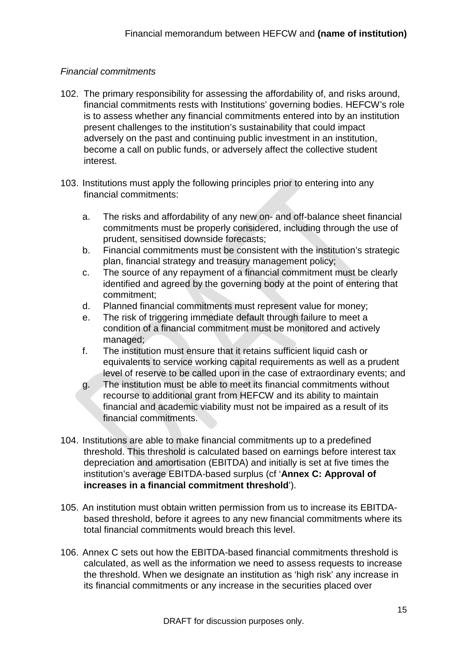#### <span id="page-30-0"></span>*Financial commitments*

- 102. The primary responsibility for assessing the affordability of, and risks around, financial commitments rests with Institutions' governing bodies. HEFCW's role is to assess whether any financial commitments entered into by an institution present challenges to the institution's sustainability that could impact adversely on the past and continuing public investment in an institution, become a call on public funds, or adversely affect the collective student interest.
- <span id="page-30-1"></span>103. Institutions must apply the following principles prior to entering into any financial commitments:
	- a. The risks and affordability of any new on- and off-balance sheet financial commitments must be properly considered, including through the use of prudent, sensitised downside forecasts;
	- b. Financial commitments must be consistent with the institution's strategic plan, financial strategy and treasury management policy;
	- c. The source of any repayment of a financial commitment must be clearly identified and agreed by the governing body at the point of entering that commitment;
	- d. Planned financial commitments must represent value for money;
	- e. The risk of triggering immediate default through failure to meet a condition of a financial commitment must be monitored and actively managed;
	- f. The institution must ensure that it retains sufficient liquid cash or equivalents to service working capital requirements as well as a prudent level of reserve to be called upon in the case of extraordinary events; and
	- g. The institution must be able to meet its financial commitments without recourse to additional grant from HEFCW and its ability to maintain financial and academic viability must not be impaired as a result of its financial commitments.
- 104. Institutions are able to make financial commitments up to a predefined threshold. This threshold is calculated based on earnings before interest tax depreciation and amortisation (EBITDA) and initially is set at five times the institution's average EBITDA-based surplus (cf '**[Annex C: Approval of](#page-55-0)  [increases in a financial commitment threshold](#page-55-0)**').
- 105. An institution must obtain written permission from us to increase its EBITDAbased threshold, before it agrees to any new financial commitments where its total financial commitments would breach this level.
- 106. Annex C sets out how the EBITDA-based financial commitments threshold is calculated, as well as the information we need to assess requests to increase the threshold. When we designate an institution as 'high risk' any increase in its financial commitments or any increase in the securities placed over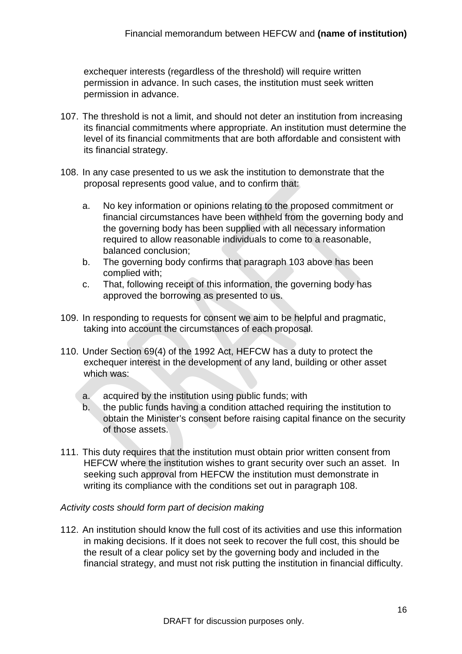exchequer interests (regardless of the threshold) will require written permission in advance. In such cases, the institution must seek written permission in advance.

- 107. The threshold is not a limit, and should not deter an institution from increasing its financial commitments where appropriate. An institution must determine the level of its financial commitments that are both affordable and consistent with its financial strategy.
- <span id="page-31-1"></span>108. In any case presented to us we ask the institution to demonstrate that the proposal represents good value, and to confirm that:
	- a. No key information or opinions relating to the proposed commitment or financial circumstances have been withheld from the governing body and the governing body has been supplied with all necessary information required to allow reasonable individuals to come to a reasonable, balanced conclusion;
	- b. The governing body confirms that paragraph [103](#page-30-1) above has been complied with;
	- c. That, following receipt of this information, the governing body has approved the borrowing as presented to us.
- 109. In responding to requests for consent we aim to be helpful and pragmatic, taking into account the circumstances of each proposal.
- 110. Under Section 69(4) of the 1992 Act, HEFCW has a duty to protect the exchequer interest in the development of any land, building or other asset which was:
	- a. acquired by the institution using public funds; with
	- b. the public funds having a condition attached requiring the institution to obtain the Minister's consent before raising capital finance on the security of those assets.
- 111. This duty requires that the institution must obtain prior written consent from HEFCW where the institution wishes to grant security over such an asset. In seeking such approval from HEFCW the institution must demonstrate in writing its compliance with the conditions set out in paragraph [108.](#page-31-1)

#### <span id="page-31-0"></span>*Activity costs should form part of decision making*

112. An institution should know the full cost of its activities and use this information in making decisions. If it does not seek to recover the full cost, this should be the result of a clear policy set by the governing body and included in the financial strategy, and must not risk putting the institution in financial difficulty.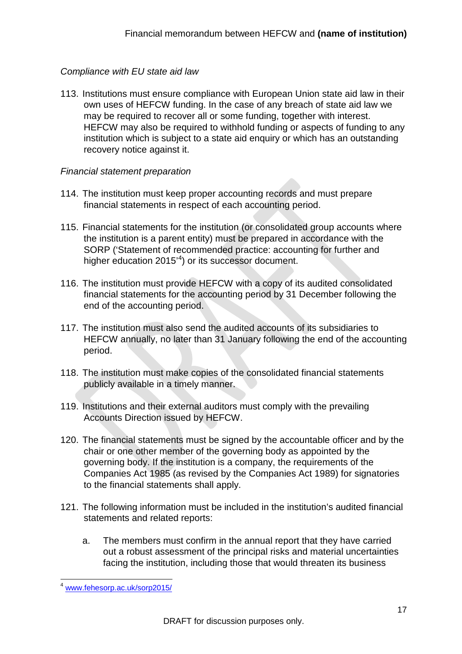#### <span id="page-32-0"></span>*Compliance with EU state aid law*

113. Institutions must ensure compliance with European Union state aid law in their own uses of HEFCW funding. In the case of any breach of state aid law we may be required to recover all or some funding, together with interest. HEFCW may also be required to withhold funding or aspects of funding to any institution which is subject to a state aid enquiry or which has an outstanding recovery notice against it.

#### <span id="page-32-1"></span>*Financial statement preparation*

- 114. The institution must keep proper accounting records and must prepare financial statements in respect of each accounting period.
- 115. Financial statements for the institution (or consolidated group accounts where the institution is a parent entity) must be prepared in accordance with the SORP ('Statement of recommended practice: accounting for further and higher education 2015<sup>'[4](#page-32-2)</sup>) or its successor document.
- 116. The institution must provide HEFCW with a copy of its audited consolidated financial statements for the accounting period by 31 December following the end of the accounting period.
- 117. The institution must also send the audited accounts of its subsidiaries to HEFCW annually, no later than 31 January following the end of the accounting period.
- 118. The institution must make copies of the consolidated financial statements publicly available in a timely manner.
- 119. Institutions and their external auditors must comply with the prevailing Accounts Direction issued by HEFCW.
- 120. The financial statements must be signed by the accountable officer and by the chair or one other member of the governing body as appointed by the governing body. If the institution is a company, the requirements of the Companies Act 1985 (as revised by the Companies Act 1989) for signatories to the financial statements shall apply.
- 121. The following information must be included in the institution's audited financial statements and related reports:
	- a. The members must confirm in the annual report that they have carried out a robust assessment of the principal risks and material uncertainties facing the institution, including those that would threaten its business

<span id="page-32-2"></span> <sup>4</sup> [www.fehesorp.ac.uk/sorp2015/](http://www.fehesorp.ac.uk/sorp2015/)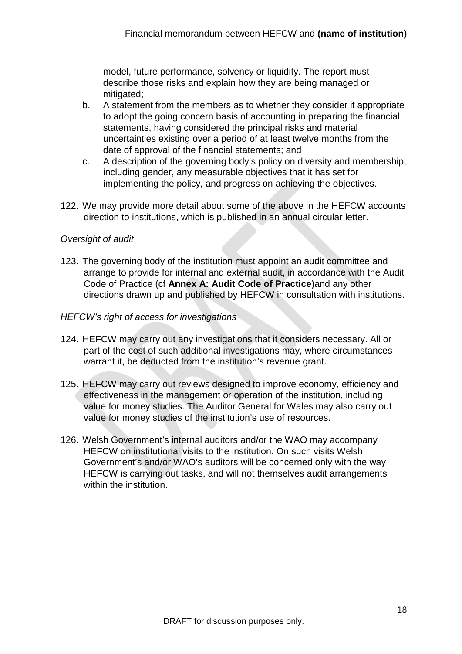model, future performance, solvency or liquidity. The report must describe those risks and explain how they are being managed or mitigated;

- b. A statement from the members as to whether they consider it appropriate to adopt the going concern basis of accounting in preparing the financial statements, having considered the principal risks and material uncertainties existing over a period of at least twelve months from the date of approval of the financial statements; and
- c. A description of the governing body's policy on diversity and membership, including gender, any measurable objectives that it has set for implementing the policy, and progress on achieving the objectives.
- 122. We may provide more detail about some of the above in the HEFCW accounts direction to institutions, which is published in an annual circular letter.

#### <span id="page-33-0"></span>*Oversight of audit*

123. The governing body of the institution must appoint an audit committee and arrange to provide for internal and external audit, in accordance with the Audit Code of Practice (cf **[Annex A: Audit Code of Practice](#page-38-0)**)and any other directions drawn up and published by HEFCW in consultation with institutions.

#### <span id="page-33-1"></span>*HEFCW's right of access for investigations*

- 124. HEFCW may carry out any investigations that it considers necessary. All or part of the cost of such additional investigations may, where circumstances warrant it, be deducted from the institution's revenue grant.
- 125. HEFCW may carry out reviews designed to improve economy, efficiency and effectiveness in the management or operation of the institution, including value for money studies. The Auditor General for Wales may also carry out value for money studies of the institution's use of resources.
- 126. Welsh Government's internal auditors and/or the WAO may accompany HEFCW on institutional visits to the institution. On such visits Welsh Government's and/or WAO's auditors will be concerned only with the way HEFCW is carrying out tasks, and will not themselves audit arrangements within the institution.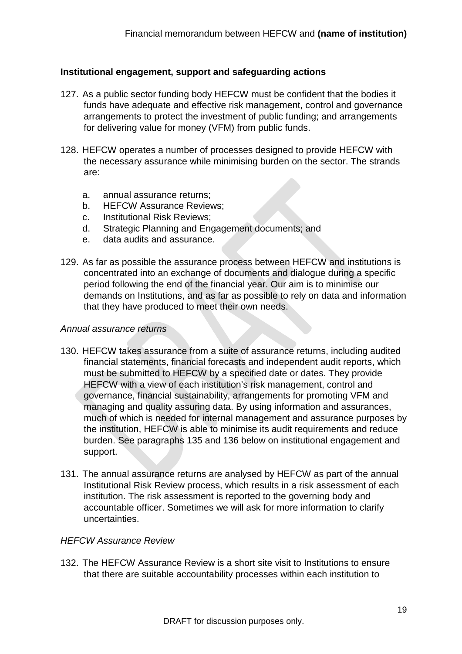#### <span id="page-34-0"></span>**Institutional engagement, support and safeguarding actions**

- <span id="page-34-3"></span>127. As a public sector funding body HEFCW must be confident that the bodies it funds have adequate and effective risk management, control and governance arrangements to protect the investment of public funding; and arrangements for delivering value for money (VFM) from public funds.
- 128. HEFCW operates a number of processes designed to provide HEFCW with the necessary assurance while minimising burden on the sector. The strands are:
	- a. annual assurance returns;
	- b. HEFCW Assurance Reviews;
	- c. Institutional Risk Reviews;
	- d. Strategic Planning and Engagement documents; and
	- e. data audits and assurance.
- 129. As far as possible the assurance process between HEFCW and institutions is concentrated into an exchange of documents and dialogue during a specific period following the end of the financial year. Our aim is to minimise our demands on Institutions, and as far as possible to rely on data and information that they have produced to meet their own needs.

#### <span id="page-34-1"></span>*Annual assurance returns*

- 130. HEFCW takes assurance from a suite of assurance returns, including audited financial statements, financial forecasts and independent audit reports, which must be submitted to HEFCW by a specified date or dates. They provide HEFCW with a view of each institution's risk management, control and governance, financial sustainability, arrangements for promoting VFM and managing and quality assuring data. By using information and assurances, much of which is needed for internal management and assurance purposes by the institution, HEFCW is able to minimise its audit requirements and reduce burden. See paragraphs [135](#page-35-3) and [136](#page-35-4) below on institutional engagement and support.
- 131. The annual assurance returns are analysed by HEFCW as part of the annual Institutional Risk Review process, which results in a risk assessment of each institution. The risk assessment is reported to the governing body and accountable officer. Sometimes we will ask for more information to clarify uncertainties.

#### <span id="page-34-2"></span>*HEFCW Assurance Review*

132. The HEFCW Assurance Review is a short site visit to Institutions to ensure that there are suitable accountability processes within each institution to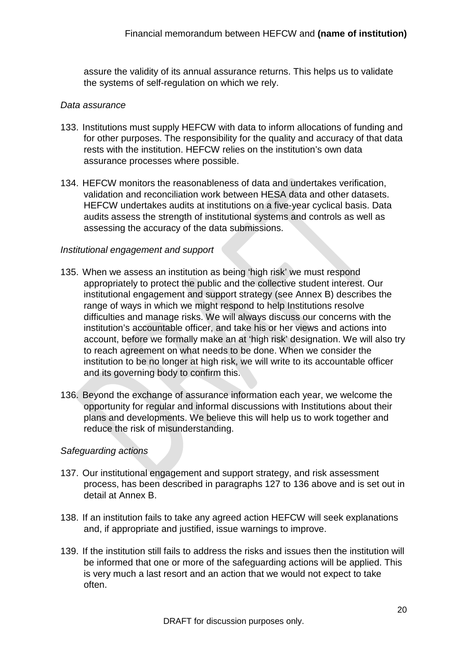assure the validity of its annual assurance returns. This helps us to validate the systems of self-regulation on which we rely.

#### <span id="page-35-0"></span>*Data assurance*

- 133. Institutions must supply HEFCW with data to inform allocations of funding and for other purposes. The responsibility for the quality and accuracy of that data rests with the institution. HEFCW relies on the institution's own data assurance processes where possible.
- 134. HEFCW monitors the reasonableness of data and undertakes verification, validation and reconciliation work between HESA data and other datasets. HEFCW undertakes audits at institutions on a five-year cyclical basis. Data audits assess the strength of institutional systems and controls as well as assessing the accuracy of the data submissions.

#### <span id="page-35-1"></span>*Institutional engagement and support*

- <span id="page-35-3"></span>135. When we assess an institution as being 'high risk' we must respond appropriately to protect the public and the collective student interest. Our institutional engagement and support strategy (see Annex B) describes the range of ways in which we might respond to help Institutions resolve difficulties and manage risks. We will always discuss our concerns with the institution's accountable officer, and take his or her views and actions into account, before we formally make an at 'high risk' designation. We will also try to reach agreement on what needs to be done. When we consider the institution to be no longer at high risk, we will write to its accountable officer and its governing body to confirm this.
- <span id="page-35-4"></span>136. Beyond the exchange of assurance information each year, we welcome the opportunity for regular and informal discussions with Institutions about their plans and developments. We believe this will help us to work together and reduce the risk of misunderstanding.

#### <span id="page-35-2"></span>*Safeguarding actions*

- 137. Our institutional engagement and support strategy, and risk assessment process, has been described in paragraphs [127](#page-34-3) to [136](#page-35-4) above and is set out in detail at Annex B.
- 138. If an institution fails to take any agreed action HEFCW will seek explanations and, if appropriate and justified, issue warnings to improve.
- 139. If the institution still fails to address the risks and issues then the institution will be informed that one or more of the safeguarding actions will be applied. This is very much a last resort and an action that we would not expect to take often.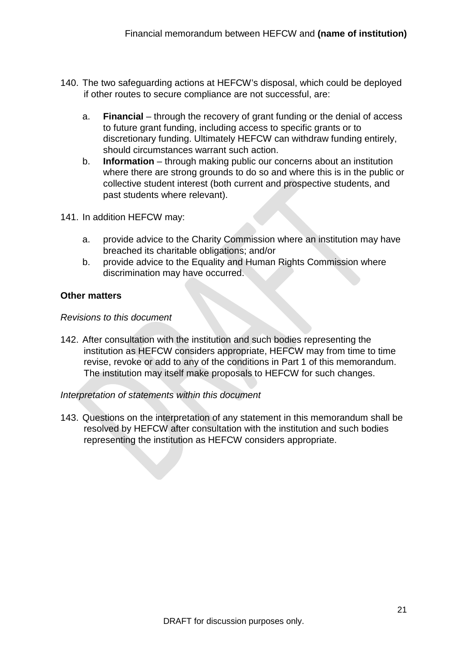- 140. The two safeguarding actions at HEFCW's disposal, which could be deployed if other routes to secure compliance are not successful, are:
	- a. **Financial** through the recovery of grant funding or the denial of access to future grant funding, including access to specific grants or to discretionary funding. Ultimately HEFCW can withdraw funding entirely, should circumstances warrant such action.
	- b. **Information** through making public our concerns about an institution where there are strong grounds to do so and where this is in the public or collective student interest (both current and prospective students, and past students where relevant).
- 141. In addition HEFCW may:
	- a. provide advice to the Charity Commission where an institution may have breached its charitable obligations; and/or
	- b. provide advice to the Equality and Human Rights Commission where discrimination may have occurred.

#### <span id="page-36-0"></span>**Other matters**

#### <span id="page-36-1"></span>*Revisions to this document*

142. After consultation with the institution and such bodies representing the institution as HEFCW considers appropriate, HEFCW may from time to time revise, revoke or add to any of the conditions in Part 1 of this memorandum. The institution may itself make proposals to HEFCW for such changes.

#### <span id="page-36-2"></span>*Interpretation of statements within this document*

143. Questions on the interpretation of any statement in this memorandum shall be resolved by HEFCW after consultation with the institution and such bodies representing the institution as HEFCW considers appropriate.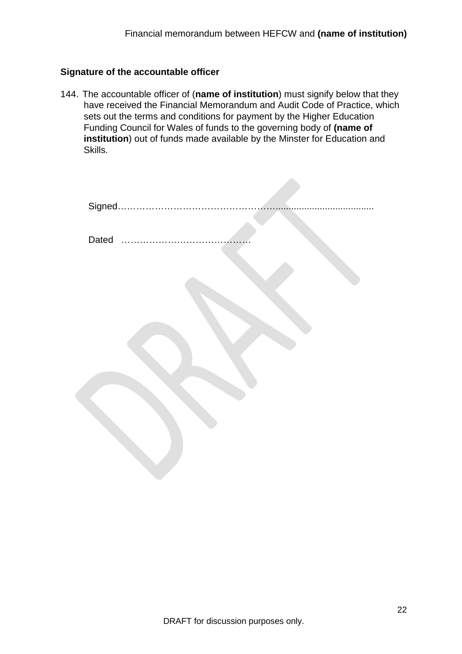#### <span id="page-37-0"></span>**Signature of the accountable officer**

144. The accountable officer of (**name of institution**) must signify below that they have received the Financial Memorandum and Audit Code of Practice, which sets out the terms and conditions for payment by the Higher Education Funding Council for Wales of funds to the governing body of **(name of institution**) out of funds made available by the Minster for Education and Skills.

|       | Signed |
|-------|--------|
| Dated |        |
|       |        |
|       |        |
|       |        |
|       |        |
|       |        |
|       |        |
|       |        |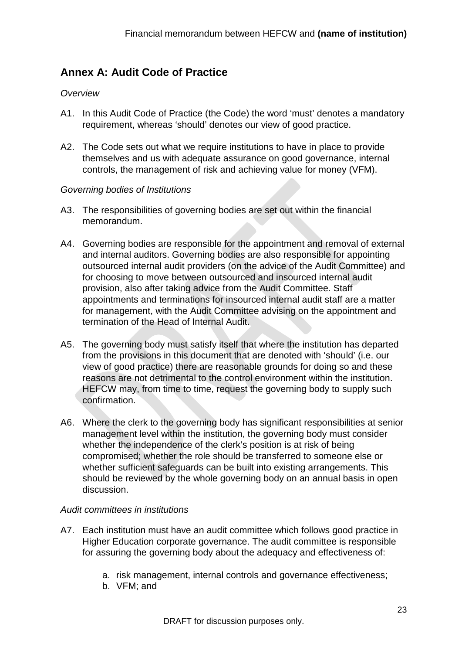#### <span id="page-38-0"></span>**Annex A: Audit Code of Practice**

#### <span id="page-38-1"></span>*Overview*

- A1. In this Audit Code of Practice (the Code) the word 'must' denotes a mandatory requirement, whereas 'should' denotes our view of good practice.
- A2. The Code sets out what we require institutions to have in place to provide themselves and us with adequate assurance on good governance, internal controls, the management of risk and achieving value for money (VFM).

#### <span id="page-38-2"></span>*Governing bodies of Institutions*

- A3. The responsibilities of governing bodies are set out within the financial memorandum.
- A4. Governing bodies are responsible for the appointment and removal of external and internal auditors. Governing bodies are also responsible for appointing outsourced internal audit providers (on the advice of the Audit Committee) and for choosing to move between outsourced and insourced internal audit provision, also after taking advice from the Audit Committee. Staff appointments and terminations for insourced internal audit staff are a matter for management, with the Audit Committee advising on the appointment and termination of the Head of Internal Audit.
- A5. The governing body must satisfy itself that where the institution has departed from the provisions in this document that are denoted with 'should' (i.e. our view of good practice) there are reasonable grounds for doing so and these reasons are not detrimental to the control environment within the institution. HEFCW may, from time to time, request the governing body to supply such confirmation.
- A6. Where the clerk to the governing body has significant responsibilities at senior management level within the institution, the governing body must consider whether the independence of the clerk's position is at risk of being compromised; whether the role should be transferred to someone else or whether sufficient safeguards can be built into existing arrangements. This should be reviewed by the whole governing body on an annual basis in open discussion.

#### <span id="page-38-3"></span>*Audit committees in institutions*

- A7. Each institution must have an audit committee which follows good practice in Higher Education corporate governance. The audit committee is responsible for assuring the governing body about the adequacy and effectiveness of:
	- a. risk management, internal controls and governance effectiveness;
	- b. VFM; and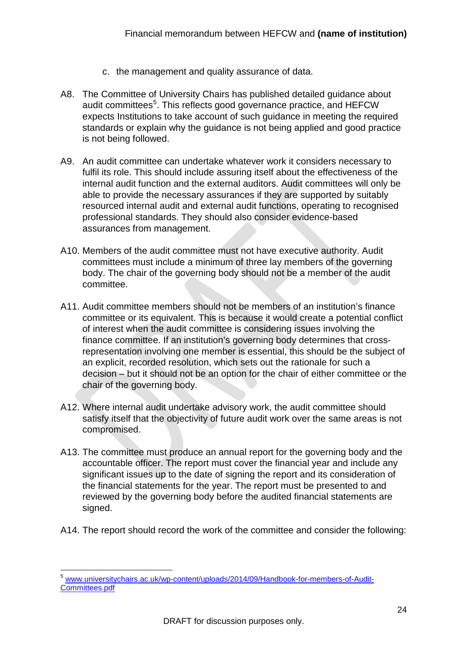- c. the management and quality assurance of data.
- A8. The Committee of University Chairs has published detailed guidance about audit committees<sup>[5](#page-39-0)</sup>. This reflects good governance practice, and HEFCW expects Institutions to take account of such guidance in meeting the required standards or explain why the guidance is not being applied and good practice is not being followed.
- A9. An audit committee can undertake whatever work it considers necessary to fulfil its role. This should include assuring itself about the effectiveness of the internal audit function and the external auditors. Audit committees will only be able to provide the necessary assurances if they are supported by suitably resourced internal audit and external audit functions, operating to recognised professional standards. They should also consider evidence-based assurances from management.
- A10. Members of the audit committee must not have executive authority. Audit committees must include a minimum of three lay members of the governing body. The chair of the governing body should not be a member of the audit committee.
- A11. Audit committee members should not be members of an institution's finance committee or its equivalent. This is because it would create a potential conflict of interest when the audit committee is considering issues involving the finance committee. If an institution's governing body determines that crossrepresentation involving one member is essential, this should be the subject of an explicit, recorded resolution, which sets out the rationale for such a decision – but it should not be an option for the chair of either committee or the chair of the governing body.
- A12. Where internal audit undertake advisory work, the audit committee should satisfy itself that the objectivity of future audit work over the same areas is not compromised.
- A13. The committee must produce an annual report for the governing body and the accountable officer. The report must cover the financial year and include any significant issues up to the date of signing the report and its consideration of the financial statements for the year. The report must be presented to and reviewed by the governing body before the audited financial statements are signed.
- A14. The report should record the work of the committee and consider the following:

<span id="page-39-0"></span> <sup>5</sup> [www.universitychairs.ac.uk/wp-content/uploads/2014/09/Handbook-for-members-of-Audit-](http://www.universitychairs.ac.uk/wp-content/uploads/2014/09/Handbook-for-members-of-Audit-Committees.pdf)[Committees.pdf](http://www.universitychairs.ac.uk/wp-content/uploads/2014/09/Handbook-for-members-of-Audit-Committees.pdf)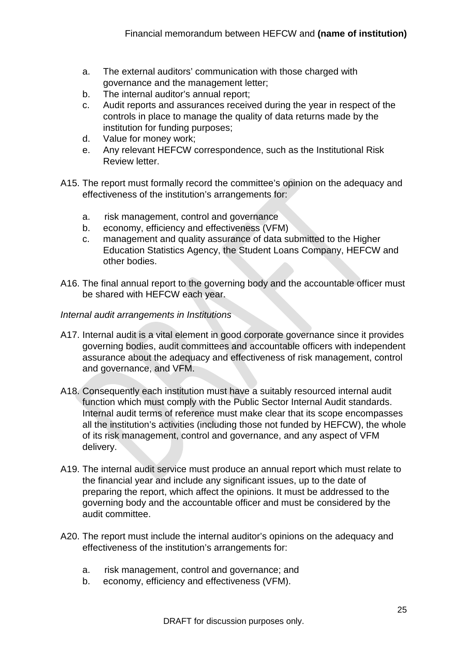- a. The external auditors' communication with those charged with governance and the management letter;
- b. The internal auditor's annual report;
- c. Audit reports and assurances received during the year in respect of the controls in place to manage the quality of data returns made by the institution for funding purposes;
- d. Value for money work;
- e. Any relevant HEFCW correspondence, such as the Institutional Risk Review letter.
- A15. The report must formally record the committee's opinion on the adequacy and effectiveness of the institution's arrangements for:
	- a. risk management, control and governance
	- b. economy, efficiency and effectiveness (VFM)
	- c. management and quality assurance of data submitted to the Higher Education Statistics Agency, the Student Loans Company, HEFCW and other bodies.
- A16. The final annual report to the governing body and the accountable officer must be shared with HEFCW each year.
- <span id="page-40-0"></span>*Internal audit arrangements in Institutions*
- A17. Internal audit is a vital element in good corporate governance since it provides governing bodies, audit committees and accountable officers with independent assurance about the adequacy and effectiveness of risk management, control and governance, and VFM.
- A18. Consequently each institution must have a suitably resourced internal audit function which must comply with the Public Sector Internal Audit standards. Internal audit terms of reference must make clear that its scope encompasses all the institution's activities (including those not funded by HEFCW), the whole of its risk management, control and governance, and any aspect of VFM delivery.
- A19. The internal audit service must produce an annual report which must relate to the financial year and include any significant issues, up to the date of preparing the report, which affect the opinions. It must be addressed to the governing body and the accountable officer and must be considered by the audit committee.
- A20. The report must include the internal auditor's opinions on the adequacy and effectiveness of the institution's arrangements for:
	- a. risk management, control and governance; and
	- b. economy, efficiency and effectiveness (VFM).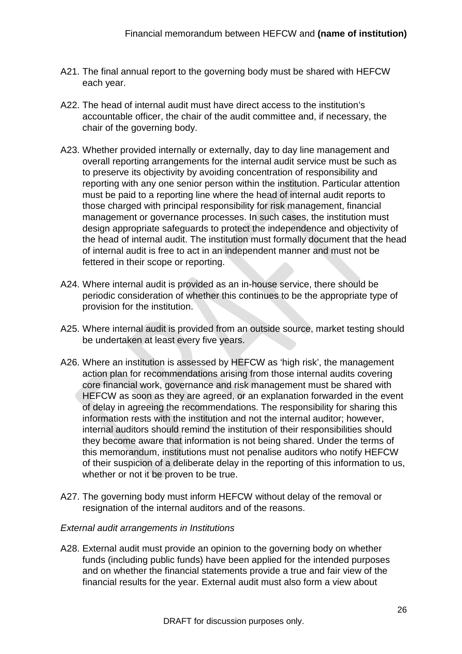- A21. The final annual report to the governing body must be shared with HEFCW each year.
- A22. The head of internal audit must have direct access to the institution's accountable officer, the chair of the audit committee and, if necessary, the chair of the governing body.
- A23. Whether provided internally or externally, day to day line management and overall reporting arrangements for the internal audit service must be such as to preserve its objectivity by avoiding concentration of responsibility and reporting with any one senior person within the institution. Particular attention must be paid to a reporting line where the head of internal audit reports to those charged with principal responsibility for risk management, financial management or governance processes. In such cases, the institution must design appropriate safeguards to protect the independence and objectivity of the head of internal audit. The institution must formally document that the head of internal audit is free to act in an independent manner and must not be fettered in their scope or reporting.
- A24. Where internal audit is provided as an in-house service, there should be periodic consideration of whether this continues to be the appropriate type of provision for the institution.
- A25. Where internal audit is provided from an outside source, market testing should be undertaken at least every five years.
- A26. Where an institution is assessed by HEFCW as 'high risk', the management action plan for recommendations arising from those internal audits covering core financial work, governance and risk management must be shared with HEFCW as soon as they are agreed, or an explanation forwarded in the event of delay in agreeing the recommendations. The responsibility for sharing this information rests with the institution and not the internal auditor; however, internal auditors should remind the institution of their responsibilities should they become aware that information is not being shared. Under the terms of this memorandum, institutions must not penalise auditors who notify HEFCW of their suspicion of a deliberate delay in the reporting of this information to us, whether or not it be proven to be true.
- A27. The governing body must inform HEFCW without delay of the removal or resignation of the internal auditors and of the reasons.

#### <span id="page-41-0"></span>*External audit arrangements in Institutions*

A28. External audit must provide an opinion to the governing body on whether funds (including public funds) have been applied for the intended purposes and on whether the financial statements provide a true and fair view of the financial results for the year. External audit must also form a view about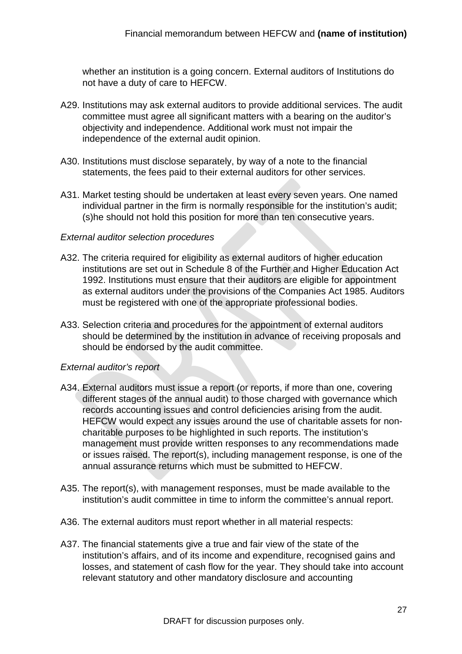whether an institution is a going concern. External auditors of Institutions do not have a duty of care to HEFCW.

- A29. Institutions may ask external auditors to provide additional services. The audit committee must agree all significant matters with a bearing on the auditor's objectivity and independence. Additional work must not impair the independence of the external audit opinion.
- A30. Institutions must disclose separately, by way of a note to the financial statements, the fees paid to their external auditors for other services.
- A31. Market testing should be undertaken at least every seven years. One named individual partner in the firm is normally responsible for the institution's audit; (s)he should not hold this position for more than ten consecutive years.

#### <span id="page-42-0"></span>*External auditor selection procedures*

- A32. The criteria required for eligibility as external auditors of higher education institutions are set out in Schedule 8 of the Further and Higher Education Act 1992. Institutions must ensure that their auditors are eligible for appointment as external auditors under the provisions of the Companies Act 1985. Auditors must be registered with one of the appropriate professional bodies.
- A33. Selection criteria and procedures for the appointment of external auditors should be determined by the institution in advance of receiving proposals and should be endorsed by the audit committee.

#### <span id="page-42-1"></span>*External auditor's report*

- <span id="page-42-2"></span>A34. External auditors must issue a report (or reports, if more than one, covering different stages of the annual audit) to those charged with governance which records accounting issues and control deficiencies arising from the audit. HEFCW would expect any issues around the use of charitable assets for noncharitable purposes to be highlighted in such reports. The institution's management must provide written responses to any recommendations made or issues raised. The report(s), including management response, is one of the annual assurance returns which must be submitted to HEFCW.
- A35. The report(s), with management responses, must be made available to the institution's audit committee in time to inform the committee's annual report.
- A36. The external auditors must report whether in all material respects:
- A37. The financial statements give a true and fair view of the state of the institution's affairs, and of its income and expenditure, recognised gains and losses, and statement of cash flow for the year. They should take into account relevant statutory and other mandatory disclosure and accounting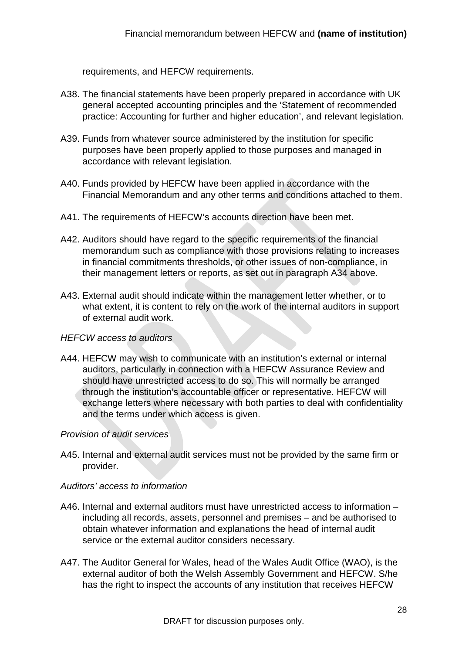requirements, and HEFCW requirements.

- A38. The financial statements have been properly prepared in accordance with UK general accepted accounting principles and the 'Statement of recommended practice: Accounting for further and higher education', and relevant legislation.
- A39. Funds from whatever source administered by the institution for specific purposes have been properly applied to those purposes and managed in accordance with relevant legislation.
- A40. Funds provided by HEFCW have been applied in accordance with the Financial Memorandum and any other terms and conditions attached to them.
- A41. The requirements of HEFCW's accounts direction have been met.
- A42. Auditors should have regard to the specific requirements of the financial memorandum such as compliance with those provisions relating to increases in financial commitments thresholds, or other issues of non-compliance, in their management letters or reports, as set out in paragraph [A34](#page-42-2) above.
- A43. External audit should indicate within the management letter whether, or to what extent, it is content to rely on the work of the internal auditors in support of external audit work.

#### <span id="page-43-0"></span>*HEFCW access to auditors*

A44. HEFCW may wish to communicate with an institution's external or internal auditors, particularly in connection with a HEFCW Assurance Review and should have unrestricted access to do so. This will normally be arranged through the institution's accountable officer or representative. HEFCW will exchange letters where necessary with both parties to deal with confidentiality and the terms under which access is given.

#### <span id="page-43-1"></span>*Provision of audit services*

A45. Internal and external audit services must not be provided by the same firm or provider.

#### <span id="page-43-2"></span>*Auditors' access to information*

- A46. Internal and external auditors must have unrestricted access to information including all records, assets, personnel and premises – and be authorised to obtain whatever information and explanations the head of internal audit service or the external auditor considers necessary.
- A47. The Auditor General for Wales, head of the Wales Audit Office (WAO), is the external auditor of both the Welsh Assembly Government and HEFCW. S/he has the right to inspect the accounts of any institution that receives HEFCW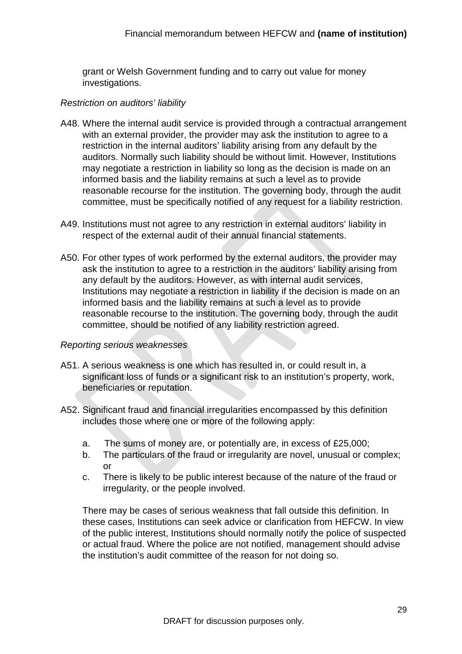grant or Welsh Government funding and to carry out value for money investigations.

#### <span id="page-44-0"></span>*Restriction on auditors' liability*

- A48. Where the internal audit service is provided through a contractual arrangement with an external provider, the provider may ask the institution to agree to a restriction in the internal auditors' liability arising from any default by the auditors. Normally such liability should be without limit. However, Institutions may negotiate a restriction in liability so long as the decision is made on an informed basis and the liability remains at such a level as to provide reasonable recourse for the institution. The governing body, through the audit committee, must be specifically notified of any request for a liability restriction.
- A49. Institutions must not agree to any restriction in external auditors' liability in respect of the external audit of their annual financial statements.
- A50. For other types of work performed by the external auditors, the provider may ask the institution to agree to a restriction in the auditors' liability arising from any default by the auditors. However, as with internal audit services, Institutions may negotiate a restriction in liability if the decision is made on an informed basis and the liability remains at such a level as to provide reasonable recourse to the institution. The governing body, through the audit committee, should be notified of any liability restriction agreed.

#### <span id="page-44-1"></span>*Reporting serious weaknesses*

- <span id="page-44-2"></span>A51. A serious weakness is one which has resulted in, or could result in, a significant loss of funds or a significant risk to an institution's property, work, beneficiaries or reputation.
- <span id="page-44-3"></span>A52. Significant fraud and financial irregularities encompassed by this definition includes those where one or more of the following apply:
	- a. The sums of money are, or potentially are, in excess of £25,000;
	- b. The particulars of the fraud or irregularity are novel, unusual or complex; or
	- c. There is likely to be public interest because of the nature of the fraud or irregularity, or the people involved.

There may be cases of serious weakness that fall outside this definition. In these cases, Institutions can seek advice or clarification from HEFCW. In view of the public interest, Institutions should normally notify the police of suspected or actual fraud. Where the police are not notified, management should advise the institution's audit committee of the reason for not doing so.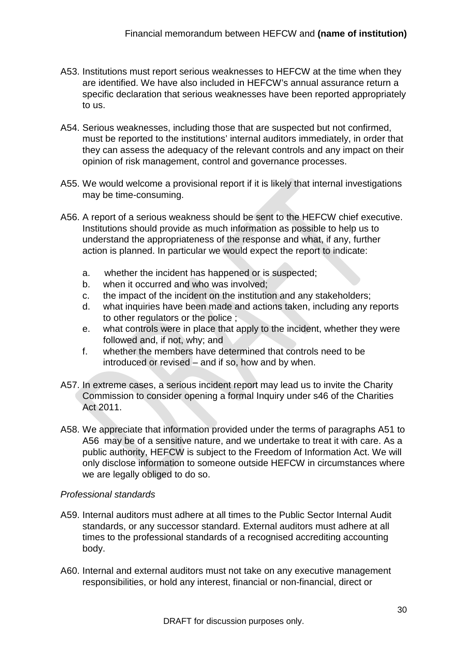- A53. Institutions must report serious weaknesses to HEFCW at the time when they are identified. We have also included in HEFCW's annual assurance return a specific declaration that serious weaknesses have been reported appropriately to us.
- A54. Serious weaknesses, including those that are suspected but not confirmed, must be reported to the institutions' internal auditors immediately, in order that they can assess the adequacy of the relevant controls and any impact on their opinion of risk management, control and governance processes.
- A55. We would welcome a provisional report if it is likely that internal investigations may be time-consuming.
- <span id="page-45-1"></span>A56. A report of a serious weakness should be sent to the HEFCW chief executive. Institutions should provide as much information as possible to help us to understand the appropriateness of the response and what, if any, further action is planned. In particular we would expect the report to indicate:
	- a. whether the incident has happened or is suspected;
	- b. when it occurred and who was involved;
	- c. the impact of the incident on the institution and any stakeholders;
	- d. what inquiries have been made and actions taken, including any reports to other regulators or the police ;
	- e. what controls were in place that apply to the incident, whether they were followed and, if not, why; and
	- f. whether the members have determined that controls need to be introduced or revised – and if so, how and by when.
- A57. In extreme cases, a serious incident report may lead us to invite the Charity Commission to consider opening a formal Inquiry under s46 of the Charities Act 2011.
- A58. We appreciate that information provided under the terms of paragraphs [A51](#page-44-2) to [A56](#page-45-1) may be of a sensitive nature, and we undertake to treat it with care. As a public authority, HEFCW is subject to the Freedom of Information Act. We will only disclose information to someone outside HEFCW in circumstances where we are legally obliged to do so.

#### <span id="page-45-0"></span>*Professional standards*

- A59. Internal auditors must adhere at all times to the Public Sector Internal Audit standards, or any successor standard. External auditors must adhere at all times to the professional standards of a recognised accrediting accounting body.
- A60. Internal and external auditors must not take on any executive management responsibilities, or hold any interest, financial or non-financial, direct or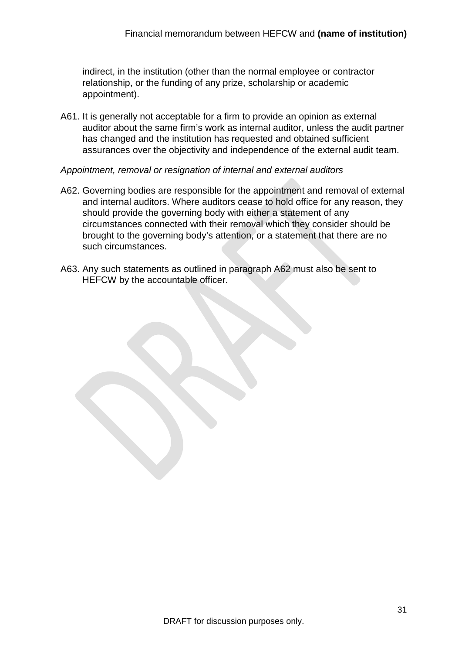indirect, in the institution (other than the normal employee or contractor relationship, or the funding of any prize, scholarship or academic appointment).

A61. It is generally not acceptable for a firm to provide an opinion as external auditor about the same firm's work as internal auditor, unless the audit partner has changed and the institution has requested and obtained sufficient assurances over the objectivity and independence of the external audit team.

#### <span id="page-46-0"></span>*Appointment, removal or resignation of internal and external auditors*

- <span id="page-46-1"></span>A62. Governing bodies are responsible for the appointment and removal of external and internal auditors. Where auditors cease to hold office for any reason, they should provide the governing body with either a statement of any circumstances connected with their removal which they consider should be brought to the governing body's attention, or a statement that there are no such circumstances.
- A63. Any such statements as outlined in paragraph [A62](#page-46-1) must also be sent to HEFCW by the accountable officer.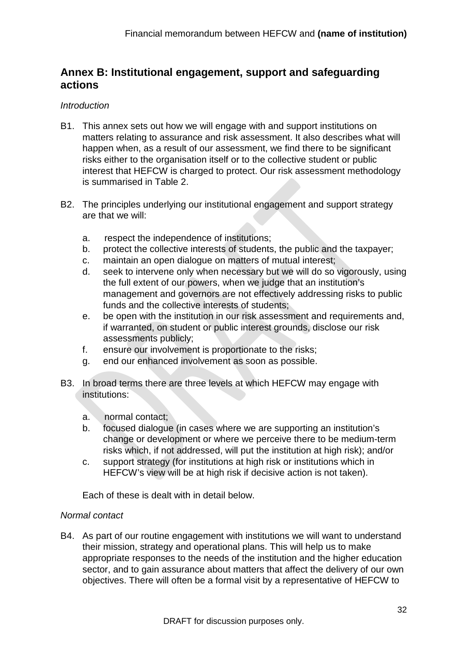#### <span id="page-47-0"></span>**Annex B: Institutional engagement, support and safeguarding actions**

#### <span id="page-47-1"></span>*Introduction*

- B1. This annex sets out how we will engage with and support institutions on matters relating to assurance and risk assessment. It also describes what will happen when, as a result of our assessment, we find there to be significant risks either to the organisation itself or to the collective student or public interest that HEFCW is charged to protect. Our risk assessment methodology is summarised in Table 2.
- B2. The principles underlying our institutional engagement and support strategy are that we will:
	- a. respect the independence of institutions;
	- b. protect the collective interests of students, the public and the taxpayer;
	- c. maintain an open dialogue on matters of mutual interest;
	- d. seek to intervene only when necessary but we will do so vigorously, using the full extent of our powers, when we judge that an institution's management and governors are not effectively addressing risks to public funds and the collective interests of students;
	- e. be open with the institution in our risk assessment and requirements and, if warranted, on student or public interest grounds, disclose our risk assessments publicly;
	- f. ensure our involvement is proportionate to the risks;
	- g. end our enhanced involvement as soon as possible.
- B3. In broad terms there are three levels at which HEFCW may engage with institutions:
	- a. normal contact;
	- b. focused dialogue (in cases where we are supporting an institution's change or development or where we perceive there to be medium-term risks which, if not addressed, will put the institution at high risk); and/or
	- c. support strategy (for institutions at high risk or institutions which in HEFCW's view will be at high risk if decisive action is not taken).

Each of these is dealt with in detail below.

#### <span id="page-47-2"></span>*Normal contact*

B4. As part of our routine engagement with institutions we will want to understand their mission, strategy and operational plans. This will help us to make appropriate responses to the needs of the institution and the higher education sector, and to gain assurance about matters that affect the delivery of our own objectives. There will often be a formal visit by a representative of HEFCW to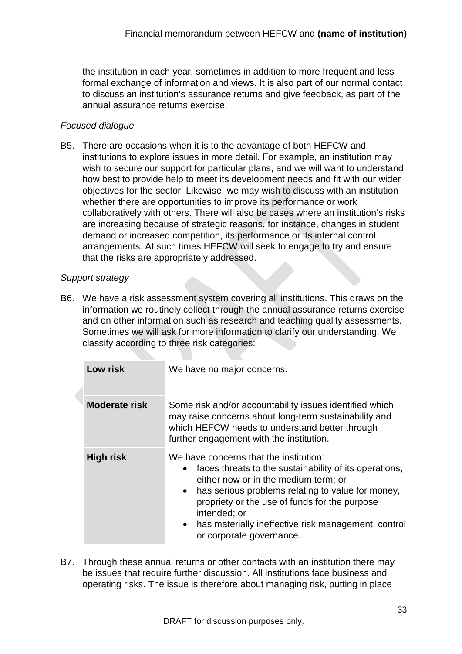the institution in each year, sometimes in addition to more frequent and less formal exchange of information and views. It is also part of our normal contact to discuss an institution's assurance returns and give feedback, as part of the annual assurance returns exercise.

#### <span id="page-48-0"></span>*Focused dialogue*

B5. There are occasions when it is to the advantage of both HEFCW and institutions to explore issues in more detail. For example, an institution may wish to secure our support for particular plans, and we will want to understand how best to provide help to meet its development needs and fit with our wider objectives for the sector. Likewise, we may wish to discuss with an institution whether there are opportunities to improve its performance or work collaboratively with others. There will also be cases where an institution's risks are increasing because of strategic reasons, for instance, changes in student demand or increased competition, its performance or its internal control arrangements. At such times HEFCW will seek to engage to try and ensure that the risks are appropriately addressed.

#### <span id="page-48-1"></span>*Support strategy*

<span id="page-48-2"></span>B6. We have a risk assessment system covering all institutions. This draws on the information we routinely collect through the annual assurance returns exercise and on other information such as research and teaching quality assessments. Sometimes we will ask for more information to clarify our understanding. We classify according to three risk categories:

| Low risk             | We have no major concerns.                                                                                                                                                                                                                                                                                                                                                               |
|----------------------|------------------------------------------------------------------------------------------------------------------------------------------------------------------------------------------------------------------------------------------------------------------------------------------------------------------------------------------------------------------------------------------|
| <b>Moderate risk</b> | Some risk and/or accountability issues identified which<br>may raise concerns about long-term sustainability and<br>which HEFCW needs to understand better through<br>further engagement with the institution.                                                                                                                                                                           |
| <b>High risk</b>     | We have concerns that the institution:<br>faces threats to the sustainability of its operations,<br>$\bullet$<br>either now or in the medium term; or<br>has serious problems relating to value for money,<br>$\bullet$<br>propriety or the use of funds for the purpose<br>intended; or<br>has materially ineffective risk management, control<br>$\bullet$<br>or corporate governance. |

B7. Through these annual returns or other contacts with an institution there may be issues that require further discussion. All institutions face business and operating risks. The issue is therefore about managing risk, putting in place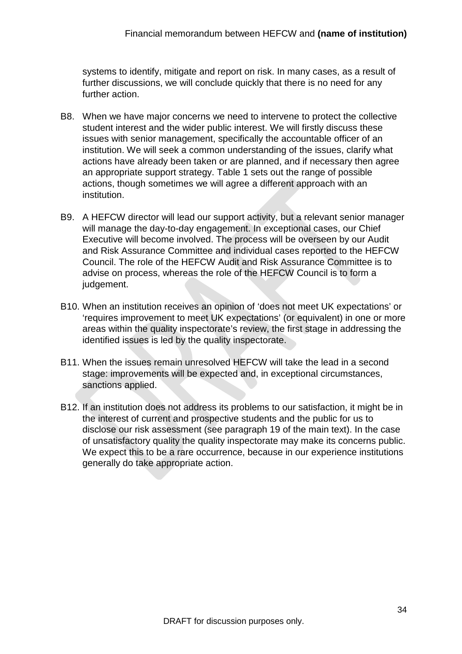systems to identify, mitigate and report on risk. In many cases, as a result of further discussions, we will conclude quickly that there is no need for any further action.

- B8. When we have major concerns we need to intervene to protect the collective student interest and the wider public interest. We will firstly discuss these issues with senior management, specifically the accountable officer of an institution. We will seek a common understanding of the issues, clarify what actions have already been taken or are planned, and if necessary then agree an appropriate support strategy. Table 1 sets out the range of possible actions, though sometimes we will agree a different approach with an institution.
- B9. A HEFCW director will lead our support activity, but a relevant senior manager will manage the day-to-day engagement. In exceptional cases, our Chief Executive will become involved. The process will be overseen by our Audit and Risk Assurance Committee and individual cases reported to the HEFCW Council. The role of the HEFCW Audit and Risk Assurance Committee is to advise on process, whereas the role of the HEFCW Council is to form a judgement.
- B10. When an institution receives an opinion of 'does not meet UK expectations' or 'requires improvement to meet UK expectations' (or equivalent) in one or more areas within the quality inspectorate's review, the first stage in addressing the identified issues is led by the quality inspectorate.
- B11. When the issues remain unresolved HEFCW will take the lead in a second stage: improvements will be expected and, in exceptional circumstances, sanctions applied.
- <span id="page-49-0"></span>B12. If an institution does not address its problems to our satisfaction, it might be in the interest of current and prospective students and the public for us to disclose our risk assessment (see paragraph [19](#page-19-2) of the main text). In the case of unsatisfactory quality the quality inspectorate may make its concerns public. We expect this to be a rare occurrence, because in our experience institutions generally do take appropriate action.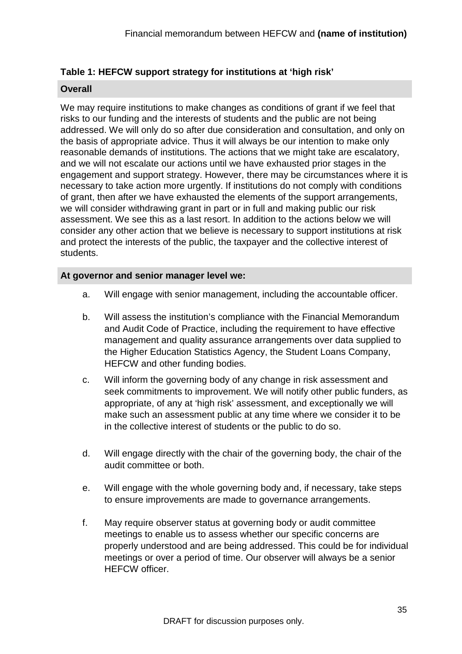#### <span id="page-50-0"></span>**Table 1: HEFCW support strategy for institutions at 'high risk'**

#### **Overall**

We may require institutions to make changes as conditions of grant if we feel that risks to our funding and the interests of students and the public are not being addressed. We will only do so after due consideration and consultation, and only on the basis of appropriate advice. Thus it will always be our intention to make only reasonable demands of institutions. The actions that we might take are escalatory, and we will not escalate our actions until we have exhausted prior stages in the engagement and support strategy. However, there may be circumstances where it is necessary to take action more urgently. If institutions do not comply with conditions of grant, then after we have exhausted the elements of the support arrangements, we will consider withdrawing grant in part or in full and making public our risk assessment. We see this as a last resort. In addition to the actions below we will consider any other action that we believe is necessary to support institutions at risk and protect the interests of the public, the taxpayer and the collective interest of students.

#### **At governor and senior manager level we:**

- a. Will engage with senior management, including the accountable officer.
- b. Will assess the institution's compliance with the Financial Memorandum and Audit Code of Practice, including the requirement to have effective management and quality assurance arrangements over data supplied to the Higher Education Statistics Agency, the Student Loans Company, HEFCW and other funding bodies.
- c. Will inform the governing body of any change in risk assessment and seek commitments to improvement. We will notify other public funders, as appropriate, of any at 'high risk' assessment, and exceptionally we will make such an assessment public at any time where we consider it to be in the collective interest of students or the public to do so.
- d. Will engage directly with the chair of the governing body, the chair of the audit committee or both.
- e. Will engage with the whole governing body and, if necessary, take steps to ensure improvements are made to governance arrangements.
- f. May require observer status at governing body or audit committee meetings to enable us to assess whether our specific concerns are properly understood and are being addressed. This could be for individual meetings or over a period of time. Our observer will always be a senior HEFCW officer.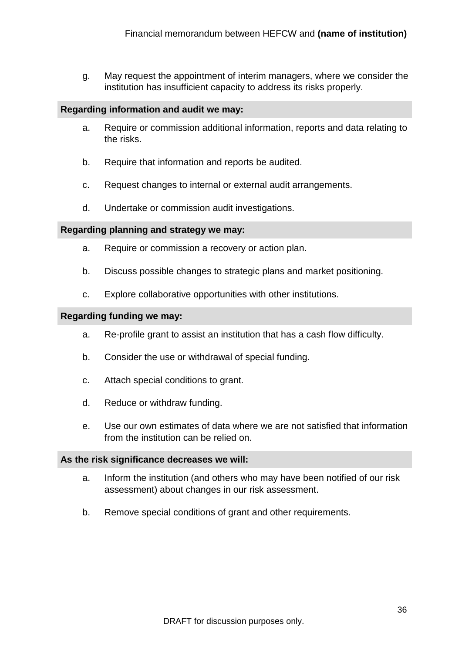g. May request the appointment of interim managers, where we consider the institution has insufficient capacity to address its risks properly.

#### **Regarding information and audit we may:**

- a. Require or commission additional information, reports and data relating to the risks.
- b. Require that information and reports be audited.
- c. Request changes to internal or external audit arrangements.
- d. Undertake or commission audit investigations.

#### **Regarding planning and strategy we may:**

- a. Require or commission a recovery or action plan.
- b. Discuss possible changes to strategic plans and market positioning.
- c. Explore collaborative opportunities with other institutions.

#### **Regarding funding we may:**

- a. Re-profile grant to assist an institution that has a cash flow difficulty.
- b. Consider the use or withdrawal of special funding.
- c. Attach special conditions to grant.
- d. Reduce or withdraw funding.
- e. Use our own estimates of data where we are not satisfied that information from the institution can be relied on.

#### **As the risk significance decreases we will:**

- a. Inform the institution (and others who may have been notified of our risk assessment) about changes in our risk assessment.
- <span id="page-51-0"></span>b. Remove special conditions of grant and other requirements.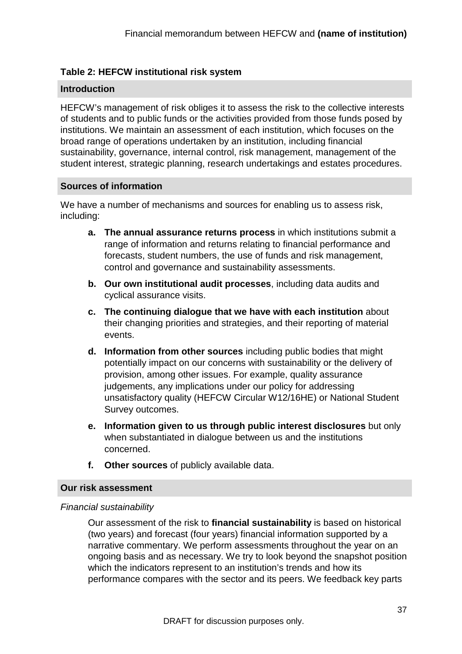#### <span id="page-52-0"></span>**Table 2: HEFCW institutional risk system**

#### **Introduction**

HEFCW's management of risk obliges it to assess the risk to the collective interests of students and to public funds or the activities provided from those funds posed by institutions. We maintain an assessment of each institution, which focuses on the broad range of operations undertaken by an institution, including financial sustainability, governance, internal control, risk management, management of the student interest, strategic planning, research undertakings and estates procedures.

#### **Sources of information**

We have a number of mechanisms and sources for enabling us to assess risk, including:

- **a. The annual assurance returns process** in which institutions submit a range of information and returns relating to financial performance and forecasts, student numbers, the use of funds and risk management, control and governance and sustainability assessments.
- **b. Our own institutional audit processes**, including data audits and cyclical assurance visits.
- **c. The continuing dialogue that we have with each institution** about their changing priorities and strategies, and their reporting of material events.
- **d. Information from other sources** including public bodies that might potentially impact on our concerns with sustainability or the delivery of provision, among other issues. For example, quality assurance judgements, any implications under our policy for addressing unsatisfactory quality (HEFCW Circular W12/16HE) or National Student Survey outcomes.
- **e. Information given to us through public interest disclosures** but only when substantiated in dialogue between us and the institutions concerned.
- **f. Other sources** of publicly available data.

#### **Our risk assessment**

#### *Financial sustainability*

Our assessment of the risk to **financial sustainability** is based on historical (two years) and forecast (four years) financial information supported by a narrative commentary. We perform assessments throughout the year on an ongoing basis and as necessary. We try to look beyond the snapshot position which the indicators represent to an institution's trends and how its performance compares with the sector and its peers. We feedback key parts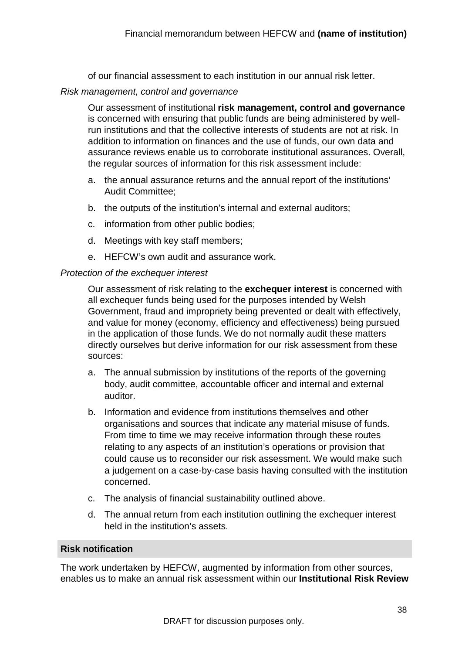of our financial assessment to each institution in our annual risk letter.

#### *Risk management, control and governance*

Our assessment of institutional **risk management, control and governance** is concerned with ensuring that public funds are being administered by wellrun institutions and that the collective interests of students are not at risk. In addition to information on finances and the use of funds, our own data and assurance reviews enable us to corroborate institutional assurances. Overall, the regular sources of information for this risk assessment include:

- a. the annual assurance returns and the annual report of the institutions' Audit Committee;
- b. the outputs of the institution's internal and external auditors;
- c. information from other public bodies;
- d. Meetings with key staff members;
- e. HEFCW's own audit and assurance work.

#### *Protection of the exchequer interest*

Our assessment of risk relating to the **exchequer interest** is concerned with all exchequer funds being used for the purposes intended by Welsh Government, fraud and impropriety being prevented or dealt with effectively, and value for money (economy, efficiency and effectiveness) being pursued in the application of those funds. We do not normally audit these matters directly ourselves but derive information for our risk assessment from these sources:

- a. The annual submission by institutions of the reports of the governing body, audit committee, accountable officer and internal and external auditor.
- b. Information and evidence from institutions themselves and other organisations and sources that indicate any material misuse of funds. From time to time we may receive information through these routes relating to any aspects of an institution's operations or provision that could cause us to reconsider our risk assessment. We would make such a judgement on a case-by-case basis having consulted with the institution concerned.
- c. The analysis of financial sustainability outlined above.
- d. The annual return from each institution outlining the exchequer interest held in the institution's assets.

#### **Risk notification**

The work undertaken by HEFCW, augmented by information from other sources, enables us to make an annual risk assessment within our **Institutional Risk Review**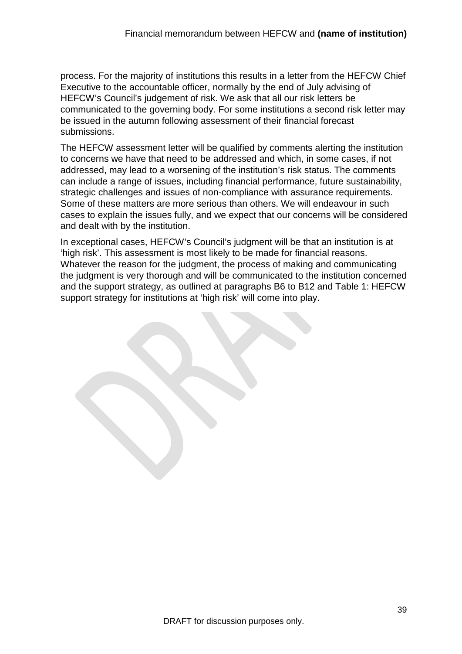process. For the majority of institutions this results in a letter from the HEFCW Chief Executive to the accountable officer, normally by the end of July advising of HEFCW's Council's judgement of risk. We ask that all our risk letters be communicated to the governing body. For some institutions a second risk letter may be issued in the autumn following assessment of their financial forecast submissions.

The HEFCW assessment letter will be qualified by comments alerting the institution to concerns we have that need to be addressed and which, in some cases, if not addressed, may lead to a worsening of the institution's risk status. The comments can include a range of issues, including financial performance, future sustainability, strategic challenges and issues of non-compliance with assurance requirements. Some of these matters are more serious than others. We will endeavour in such cases to explain the issues fully, and we expect that our concerns will be considered and dealt with by the institution.

In exceptional cases, HEFCW's Council's judgment will be that an institution is at 'high risk'. This assessment is most likely to be made for financial reasons. Whatever the reason for the judgment, the process of making and communicating the judgment is very thorough and will be communicated to the institution concerned and the support strategy, as outlined at paragraphs [B6](#page-48-2) to [B12](#page-49-0) and [Table 1: HEFCW](#page-50-0) [support strategy for institutions](#page-50-0) at 'high risk' will come into play.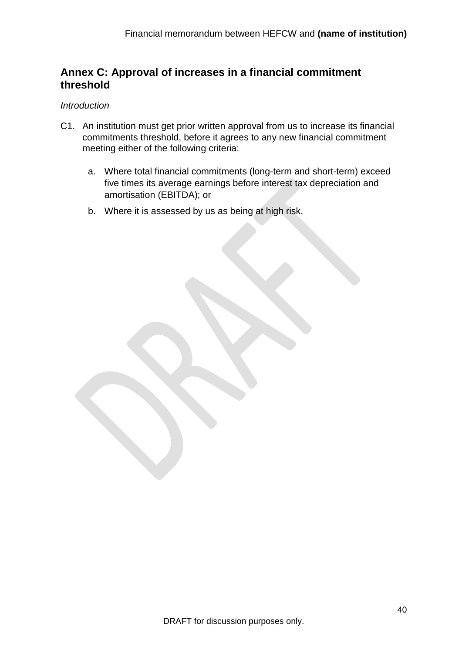#### <span id="page-55-0"></span>**Annex C: Approval of increases in a financial commitment threshold**

#### <span id="page-55-1"></span>*Introduction*

- C1. An institution must get prior written approval from us to increase its financial commitments threshold, before it agrees to any new financial commitment meeting either of the following criteria:
	- a. Where total financial commitments (long-term and short-term) exceed five times its average earnings before interest tax depreciation and amortisation (EBITDA); or
	- b. Where it is assessed by us as being at high risk.

DRAFT for discussion purposes only.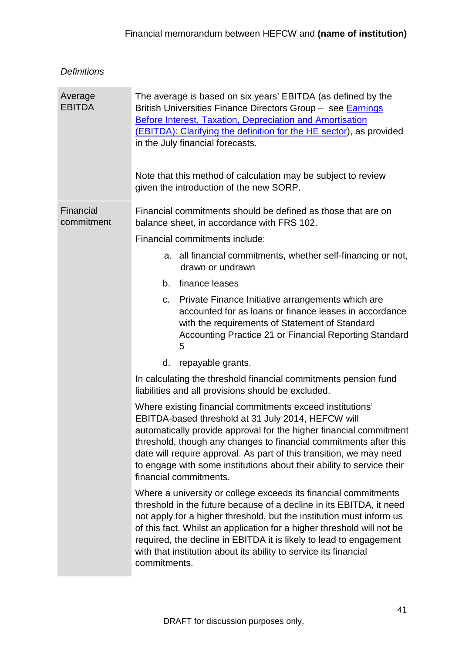#### <span id="page-56-0"></span>*Definitions*

<span id="page-56-2"></span><span id="page-56-1"></span>

| Average<br><b>EBITDA</b> | The average is based on six years' EBITDA (as defined by the<br>British Universities Finance Directors Group - see Earnings<br><b>Before Interest, Taxation, Depreciation and Amortisation</b><br>(EBITDA): Clarifying the definition for the HE sector), as provided<br>in the July financial forecasts.<br>Note that this method of calculation may be subject to review<br>given the introduction of the new SORP.                              |
|--------------------------|----------------------------------------------------------------------------------------------------------------------------------------------------------------------------------------------------------------------------------------------------------------------------------------------------------------------------------------------------------------------------------------------------------------------------------------------------|
| Financial<br>commitment  | Financial commitments should be defined as those that are on<br>balance sheet, in accordance with FRS 102.                                                                                                                                                                                                                                                                                                                                         |
|                          | Financial commitments include:                                                                                                                                                                                                                                                                                                                                                                                                                     |
|                          | a. all financial commitments, whether self-financing or not,<br>drawn or undrawn                                                                                                                                                                                                                                                                                                                                                                   |
|                          | finance leases<br>b.                                                                                                                                                                                                                                                                                                                                                                                                                               |
|                          | Private Finance Initiative arrangements which are<br>C.<br>accounted for as loans or finance leases in accordance<br>with the requirements of Statement of Standard<br>Accounting Practice 21 or Financial Reporting Standard<br>5                                                                                                                                                                                                                 |
|                          | repayable grants.<br>d.                                                                                                                                                                                                                                                                                                                                                                                                                            |
|                          | In calculating the threshold financial commitments pension fund<br>liabilities and all provisions should be excluded.                                                                                                                                                                                                                                                                                                                              |
|                          | Where existing financial commitments exceed institutions'<br>EBITDA-based threshold at 31 July 2014, HEFCW will<br>automatically provide approval for the higher financial commitment<br>threshold, though any changes to financial commitments after this<br>date will require approval. As part of this transition, we may need<br>to engage with some institutions about their ability to service their<br>financial commitments.               |
|                          | Where a university or college exceeds its financial commitments<br>threshold in the future because of a decline in its EBITDA, it need<br>not apply for a higher threshold, but the institution must inform us<br>of this fact. Whilst an application for a higher threshold will not be<br>required, the decline in EBITDA it is likely to lead to engagement<br>with that institution about its ability to service its financial<br>commitments. |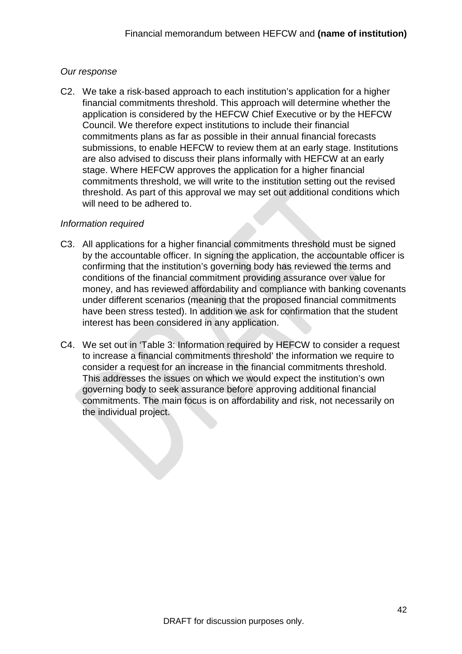#### <span id="page-57-0"></span>*Our response*

C2. We take a risk-based approach to each institution's application for a higher financial commitments threshold. This approach will determine whether the application is considered by the HEFCW Chief Executive or by the HEFCW Council. We therefore expect institutions to include their financial commitments plans as far as possible in their annual financial forecasts submissions, to enable HEFCW to review them at an early stage. Institutions are also advised to discuss their plans informally with HEFCW at an early stage. Where HEFCW approves the application for a higher financial commitments threshold, we will write to the institution setting out the revised threshold. As part of this approval we may set out additional conditions which will need to be adhered to.

#### <span id="page-57-1"></span>*Information required*

- C3. All applications for a higher financial commitments threshold must be signed by the accountable officer. In signing the application, the accountable officer is confirming that the institution's governing body has reviewed the terms and conditions of the financial commitment providing assurance over value for money, and has reviewed affordability and compliance with banking covenants under different scenarios (meaning that the proposed financial commitments have been stress tested). In addition we ask for confirmation that the student interest has been considered in any application.
- C4. We set out in ['Table 3: Information required by HEFCW](#page-58-0) to consider a request [to increase a financial commitments threshold'](#page-58-0) the information we require to consider a request for an increase in the financial commitments threshold. This addresses the issues on which we would expect the institution's own governing body to seek assurance before approving additional financial commitments. The main focus is on affordability and risk, not necessarily on the individual project.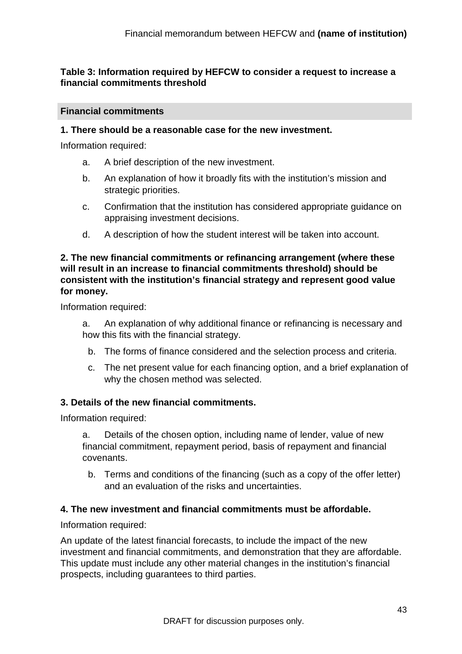#### <span id="page-58-0"></span>**Table 3: Information required by HEFCW to consider a request to increase a financial commitments threshold**

#### **Financial commitments**

#### **1. There should be a reasonable case for the new investment.**

Information required:

- a. A brief description of the new investment.
- b. An explanation of how it broadly fits with the institution's mission and strategic priorities.
- c. Confirmation that the institution has considered appropriate guidance on appraising investment decisions.
- d. A description of how the student interest will be taken into account.

#### **2. The new financial commitments or refinancing arrangement (where these will result in an increase to financial commitments threshold) should be consistent with the institution's financial strategy and represent good value for money.**

Information required:

- a. An explanation of why additional finance or refinancing is necessary and how this fits with the financial strategy.
	- b. The forms of finance considered and the selection process and criteria.
	- c. The net present value for each financing option, and a brief explanation of why the chosen method was selected.

#### **3. Details of the new financial commitments.**

Information required:

a. Details of the chosen option, including name of lender, value of new financial commitment, repayment period, basis of repayment and financial covenants.

b. Terms and conditions of the financing (such as a copy of the offer letter) and an evaluation of the risks and uncertainties.

#### **4. The new investment and financial commitments must be affordable.**

Information required:

An update of the latest financial forecasts, to include the impact of the new investment and financial commitments, and demonstration that they are affordable. This update must include any other material changes in the institution's financial prospects, including guarantees to third parties.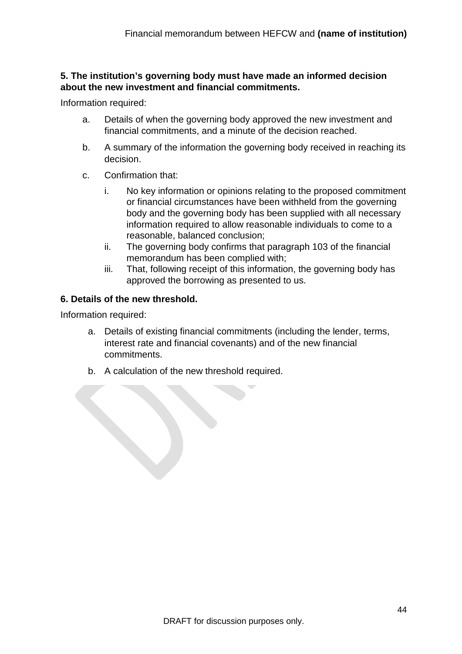#### **5. The institution's governing body must have made an informed decision about the new investment and financial commitments.**

Information required:

- a. Details of when the governing body approved the new investment and financial commitments, and a minute of the decision reached.
- b. A summary of the information the governing body received in reaching its decision.
- c. Confirmation that:
	- i. No key information or opinions relating to the proposed commitment or financial circumstances have been withheld from the governing body and the governing body has been supplied with all necessary information required to allow reasonable individuals to come to a reasonable, balanced conclusion;
	- ii. The governing body confirms that paragraph [103](#page-30-1) of the financial memorandum has been complied with;
	- iii. That, following receipt of this information, the governing body has approved the borrowing as presented to us.

#### **6. Details of the new threshold.**

Information required:

- a. Details of existing financial commitments (including the lender, terms, interest rate and financial covenants) and of the new financial commitments.
- b. A calculation of the new threshold required.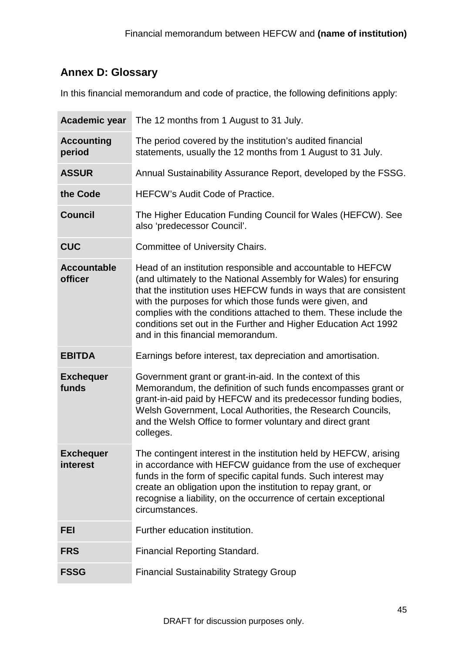#### <span id="page-60-0"></span>**Annex D: Glossary**

In this financial memorandum and code of practice, the following definitions apply:

| Academic year                 | The 12 months from 1 August to 31 July.                                                                                                                                                                                                                                                                                                                                                                                                     |
|-------------------------------|---------------------------------------------------------------------------------------------------------------------------------------------------------------------------------------------------------------------------------------------------------------------------------------------------------------------------------------------------------------------------------------------------------------------------------------------|
| <b>Accounting</b><br>period   | The period covered by the institution's audited financial<br>statements, usually the 12 months from 1 August to 31 July.                                                                                                                                                                                                                                                                                                                    |
| <b>ASSUR</b>                  | Annual Sustainability Assurance Report, developed by the FSSG.                                                                                                                                                                                                                                                                                                                                                                              |
| the Code                      | <b>HEFCW's Audit Code of Practice.</b>                                                                                                                                                                                                                                                                                                                                                                                                      |
| <b>Council</b>                | The Higher Education Funding Council for Wales (HEFCW). See<br>also 'predecessor Council'.                                                                                                                                                                                                                                                                                                                                                  |
| <b>CUC</b>                    | <b>Committee of University Chairs.</b>                                                                                                                                                                                                                                                                                                                                                                                                      |
| <b>Accountable</b><br>officer | Head of an institution responsible and accountable to HEFCW<br>(and ultimately to the National Assembly for Wales) for ensuring<br>that the institution uses HEFCW funds in ways that are consistent<br>with the purposes for which those funds were given, and<br>complies with the conditions attached to them. These include the<br>conditions set out in the Further and Higher Education Act 1992<br>and in this financial memorandum. |
|                               |                                                                                                                                                                                                                                                                                                                                                                                                                                             |
| <b>EBITDA</b>                 | Earnings before interest, tax depreciation and amortisation.                                                                                                                                                                                                                                                                                                                                                                                |
| <b>Exchequer</b><br>funds     | Government grant or grant-in-aid. In the context of this<br>Memorandum, the definition of such funds encompasses grant or<br>grant-in-aid paid by HEFCW and its predecessor funding bodies,<br>Welsh Government, Local Authorities, the Research Councils,<br>and the Welsh Office to former voluntary and direct grant<br>colleges.                                                                                                        |
| <b>Exchequer</b><br>interest  | The contingent interest in the institution held by HEFCW, arising<br>in accordance with HEFCW guidance from the use of exchequer<br>funds in the form of specific capital funds. Such interest may<br>create an obligation upon the institution to repay grant, or<br>recognise a liability, on the occurrence of certain exceptional<br>circumstances.                                                                                     |
| FEI                           | Further education institution.                                                                                                                                                                                                                                                                                                                                                                                                              |
| <b>FRS</b>                    | <b>Financial Reporting Standard.</b>                                                                                                                                                                                                                                                                                                                                                                                                        |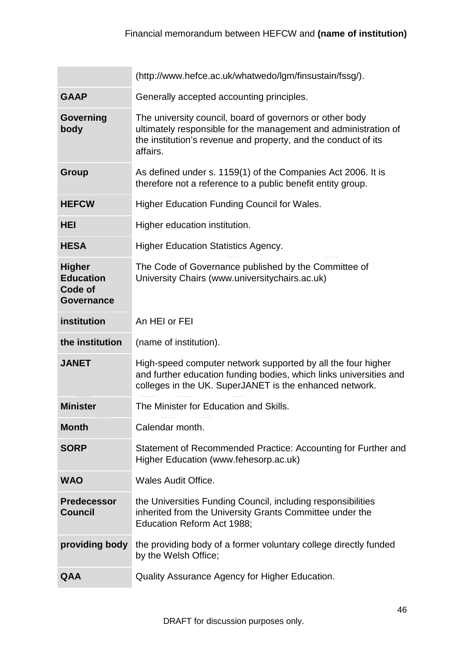|                                                                   | (http://www.hefce.ac.uk/whatwedo/lgm/finsustain/fssg/).                                                                                                                                                   |
|-------------------------------------------------------------------|-----------------------------------------------------------------------------------------------------------------------------------------------------------------------------------------------------------|
| <b>GAAP</b>                                                       | Generally accepted accounting principles.                                                                                                                                                                 |
| Governing<br>body                                                 | The university council, board of governors or other body<br>ultimately responsible for the management and administration of<br>the institution's revenue and property, and the conduct of its<br>affairs. |
| Group                                                             | As defined under s. 1159(1) of the Companies Act 2006. It is<br>therefore not a reference to a public benefit entity group.                                                                               |
| <b>HEFCW</b>                                                      | <b>Higher Education Funding Council for Wales.</b>                                                                                                                                                        |
| <b>HEI</b>                                                        | Higher education institution.                                                                                                                                                                             |
| <b>HESA</b>                                                       | <b>Higher Education Statistics Agency.</b>                                                                                                                                                                |
| <b>Higher</b><br><b>Education</b><br>Code of<br><b>Governance</b> | The Code of Governance published by the Committee of<br>University Chairs (www.universitychairs.ac.uk)                                                                                                    |
| institution                                                       | An HEI or FEI                                                                                                                                                                                             |
| the institution                                                   | (name of institution).                                                                                                                                                                                    |
| <b>JANET</b>                                                      | High-speed computer network supported by all the four higher<br>and further education funding bodies, which links universities and<br>colleges in the UK. SuperJANET is the enhanced network.             |
| <b>Minister</b>                                                   | The Minister for Education and Skills.                                                                                                                                                                    |
| <b>Month</b>                                                      | Calendar month.                                                                                                                                                                                           |
| <b>SORP</b>                                                       | Statement of Recommended Practice: Accounting for Further and<br>Higher Education (www.fehesorp.ac.uk)                                                                                                    |
| <b>WAO</b>                                                        | <b>Wales Audit Office.</b>                                                                                                                                                                                |
| <b>Predecessor</b><br><b>Council</b>                              | the Universities Funding Council, including responsibilities<br>inherited from the University Grants Committee under the                                                                                  |
|                                                                   | Education Reform Act 1988;                                                                                                                                                                                |
| providing body                                                    | the providing body of a former voluntary college directly funded<br>by the Welsh Office;                                                                                                                  |